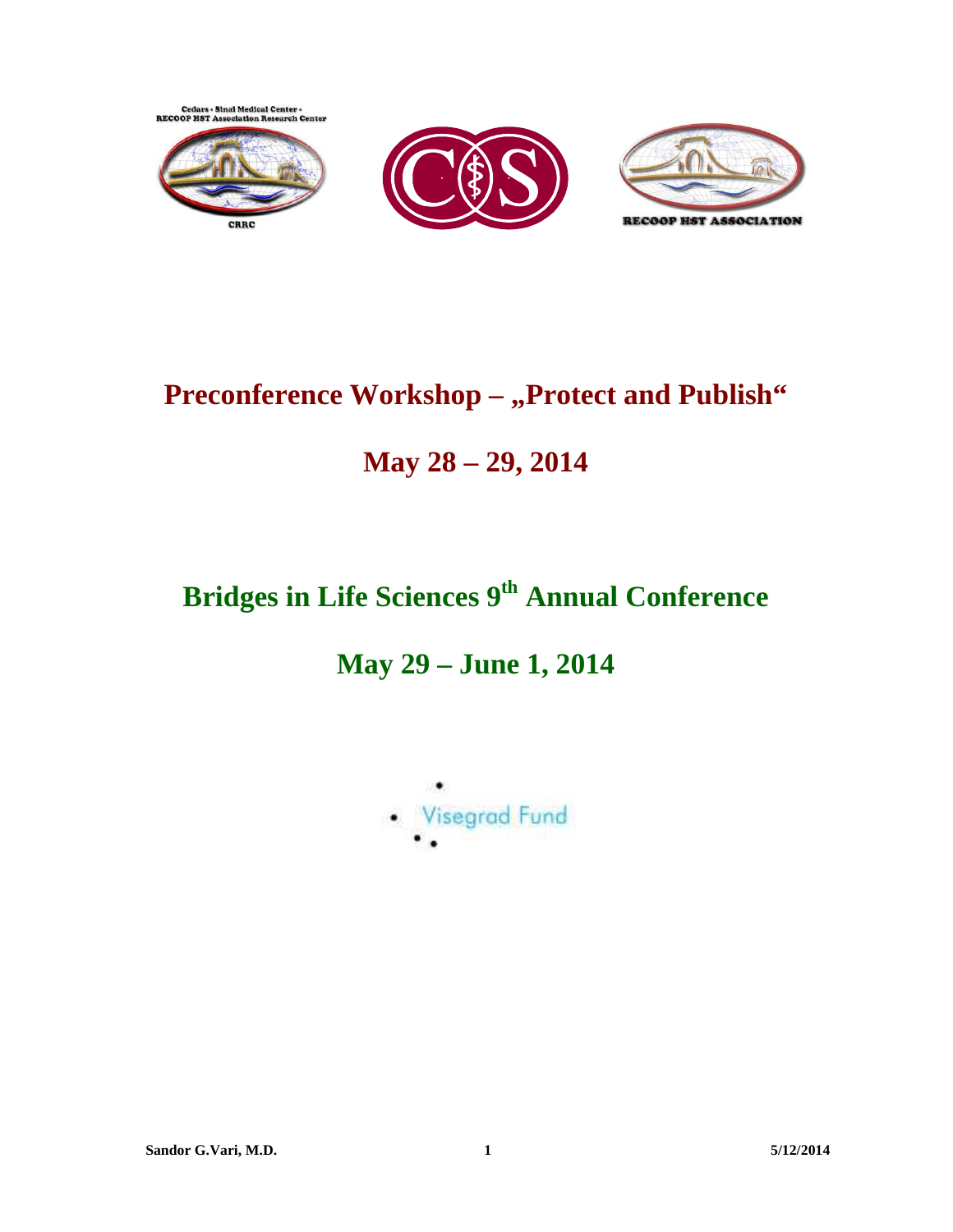

# **Preconference Workshop - ,, Protect and Publish"**

# **May 28 – 29, 2014**

# **Bridges in Life Sciences 9th Annual Conference**

# **May 29 – June 1, 2014**

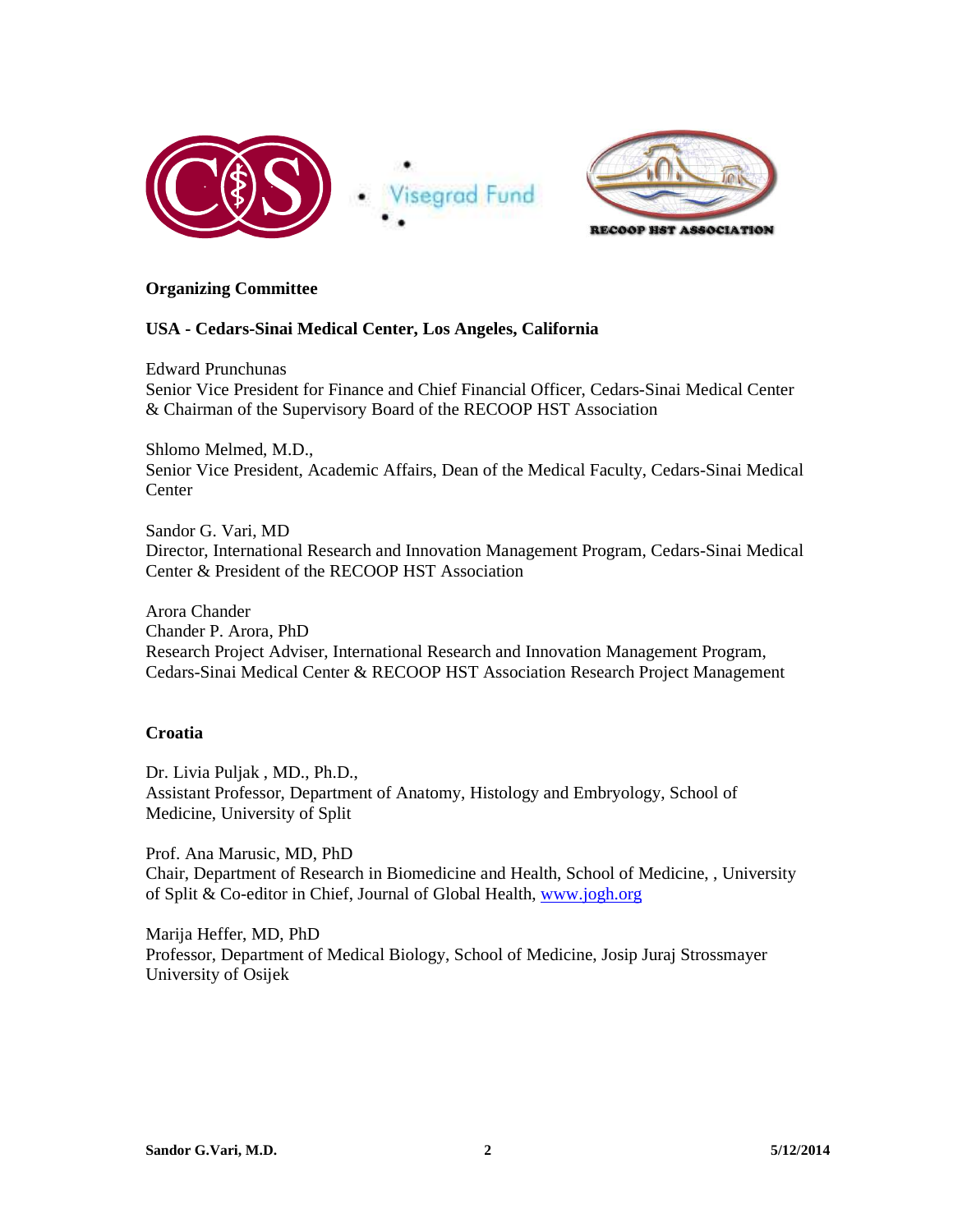



## **Organizing Committee**

## **USA - Cedars-Sinai Medical Center, Los Angeles, California**

Edward Prunchunas Senior Vice President for Finance and Chief Financial Officer, Cedars-Sinai Medical Center & Chairman of the Supervisory Board of the RECOOP HST Association

Shlomo Melmed, M.D., Senior Vice President, Academic Affairs, Dean of the Medical Faculty, Cedars-Sinai Medical **Center** 

Sandor G. Vari, MD Director, International Research and Innovation Management Program, Cedars-Sinai Medical Center & President of the RECOOP HST Association

Arora Chander Chander P. Arora, PhD Research Project Adviser, International Research and Innovation Management Program, Cedars-Sinai Medical Center & RECOOP HST Association Research Project Management

## **Croatia**

Dr. Livia Puljak , MD., Ph.D., Assistant Professor, Department of Anatomy, Histology and Embryology, School of Medicine, University of Split

Prof. Ana Marusic, MD, PhD Chair, Department of Research in Biomedicine and Health, School of Medicine, , University of Split & Co-editor in Chief, Journal of Global Health, www.jogh.org

Marija Heffer, MD, PhD Professor, Department of Medical Biology, School of Medicine, Josip Juraj Strossmayer University of Osijek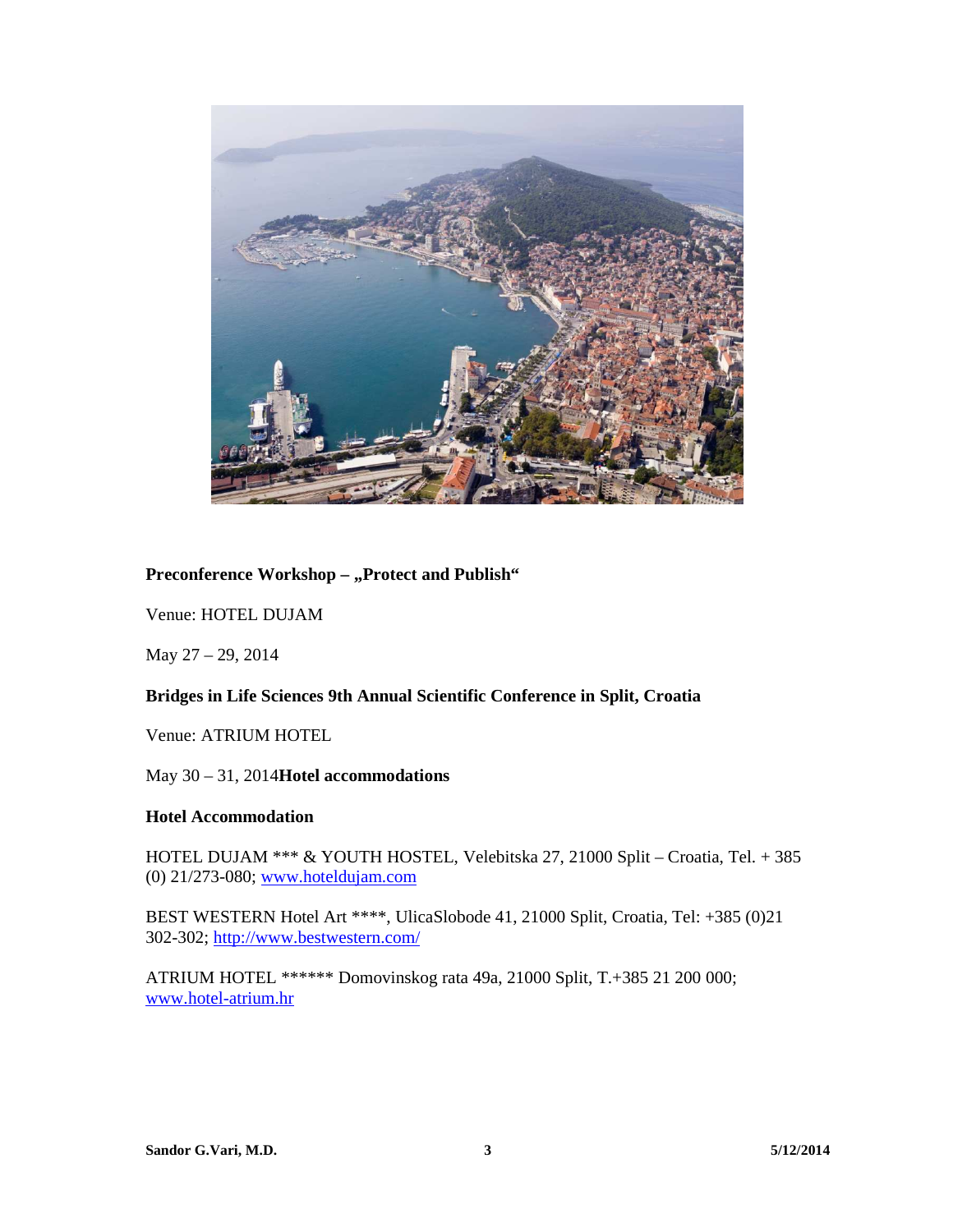

#### Preconference Workshop - "Protect and Publish"

Venue: HOTEL DUJAM

May 27 – 29, 2014

#### **Bridges in Life Sciences 9th Annual Scientific Conference in Split, Croatia**

Venue: ATRIUM HOTEL

May 30 – 31, 2014**Hotel accommodations** 

#### **Hotel Accommodation**

HOTEL DUJAM \*\*\* & YOUTH HOSTEL, Velebitska 27, 21000 Split – Croatia, Tel. + 385 (0) 21/273-080; www.hoteldujam.com

BEST WESTERN Hotel Art \*\*\*\*, UlicaSlobode 41, 21000 Split, Croatia, Tel: +385 (0)21 302-302; http://www.bestwestern.com/

ATRIUM HOTEL \*\*\*\*\*\* Domovinskog rata 49a, 21000 Split, T.+385 21 200 000; www.hotel-atrium.hr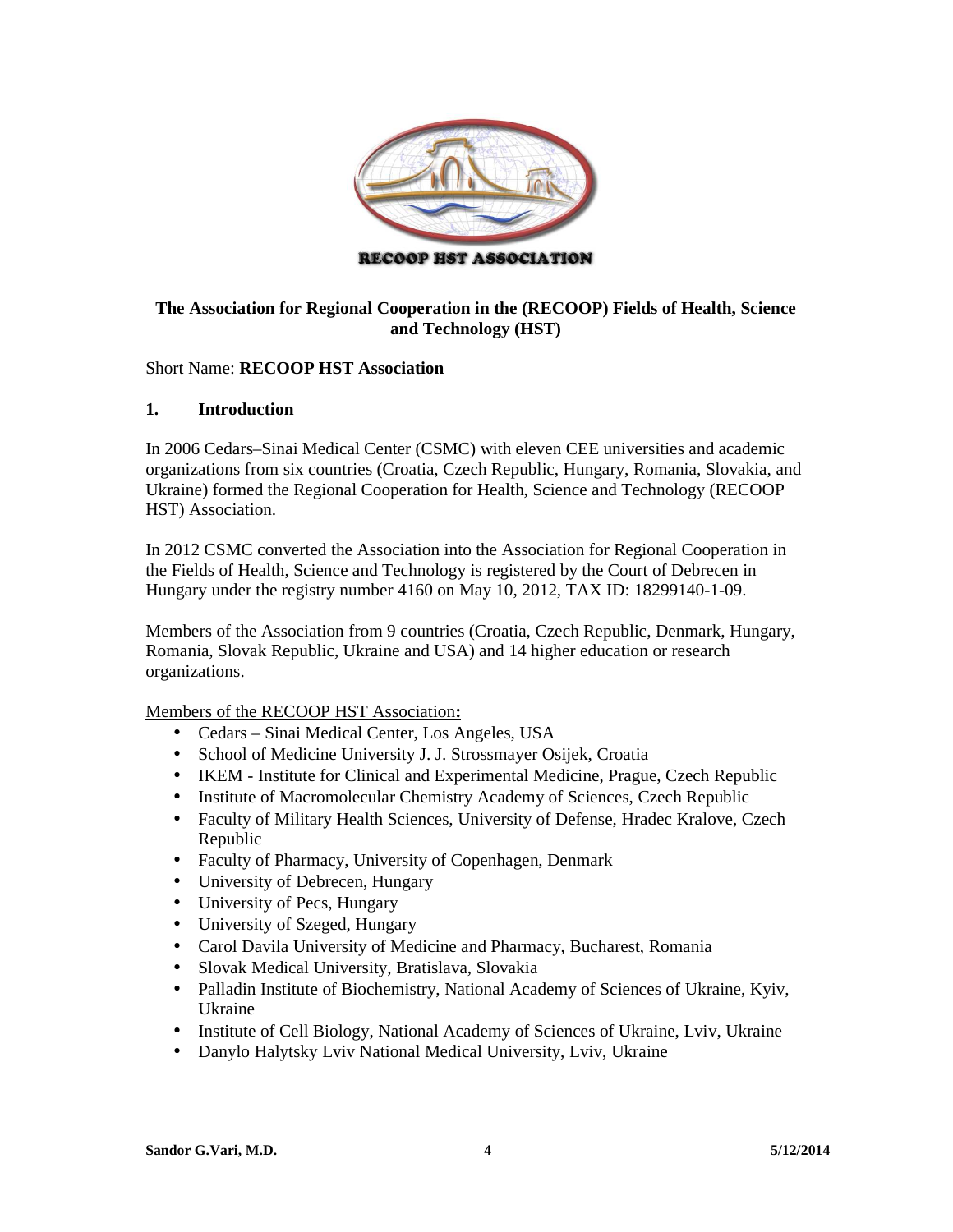

## **The Association for Regional Cooperation in the (RECOOP) Fields of Health, Science and Technology (HST)**

## Short Name: **RECOOP HST Association**

## **1. Introduction**

In 2006 Cedars–Sinai Medical Center (CSMC) with eleven CEE universities and academic organizations from six countries (Croatia, Czech Republic, Hungary, Romania, Slovakia, and Ukraine) formed the Regional Cooperation for Health, Science and Technology (RECOOP HST) Association.

In 2012 CSMC converted the Association into the Association for Regional Cooperation in the Fields of Health, Science and Technology is registered by the Court of Debrecen in Hungary under the registry number 4160 on May 10, 2012, TAX ID: 18299140-1-09.

Members of the Association from 9 countries (Croatia, Czech Republic, Denmark, Hungary, Romania, Slovak Republic, Ukraine and USA) and 14 higher education or research organizations.

Members of the RECOOP HST Association**:** 

- Cedars Sinai Medical Center, Los Angeles, USA
- School of Medicine University J. J. Strossmayer Osijek, Croatia
- IKEM Institute for Clinical and Experimental Medicine, Prague, Czech Republic
- Institute of Macromolecular Chemistry Academy of Sciences, Czech Republic
- Faculty of Military Health Sciences, University of Defense, Hradec Kralove, Czech Republic
- Faculty of Pharmacy, University of Copenhagen, Denmark
- University of Debrecen, Hungary
- University of Pecs, Hungary
- University of Szeged, Hungary
- Carol Davila University of Medicine and Pharmacy, Bucharest, Romania
- Slovak Medical University, Bratislava, Slovakia
- Palladin Institute of Biochemistry, National Academy of Sciences of Ukraine, Kyiv, Ukraine
- Institute of Cell Biology, National Academy of Sciences of Ukraine, Lviv, Ukraine
- Danylo Halytsky Lviv National Medical University, Lviv, Ukraine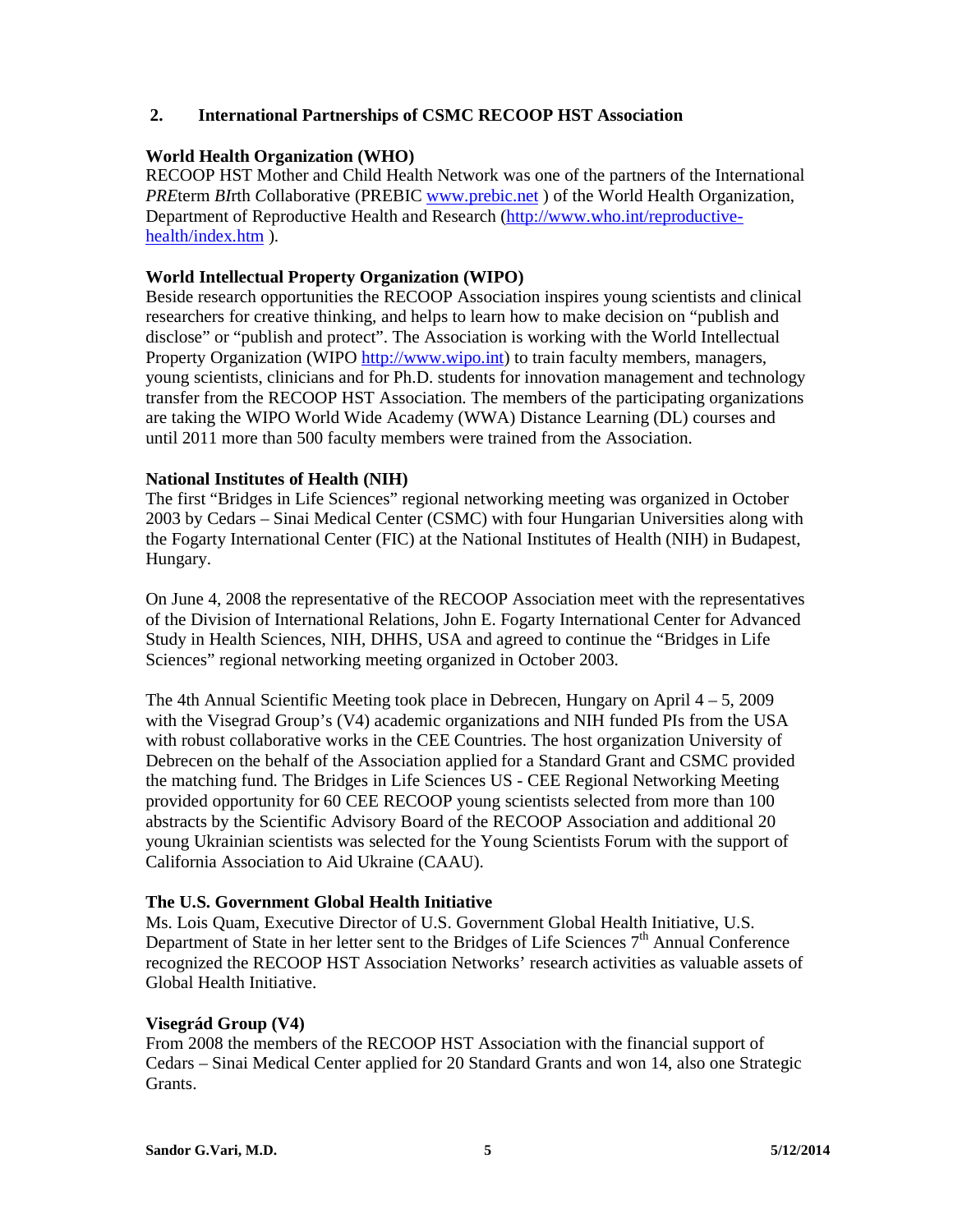## **2. International Partnerships of CSMC RECOOP HST Association**

### **World Health Organization (WHO)**

RECOOP HST Mother and Child Health Network was one of the partners of the International *PRE*term *BI*rth *C*ollaborative (PREBIC www.prebic.net ) of the World Health Organization, Department of Reproductive Health and Research (http://www.who.int/reproductivehealth/index.htm ).

## **World Intellectual Property Organization (WIPO)**

Beside research opportunities the RECOOP Association inspires young scientists and clinical researchers for creative thinking, and helps to learn how to make decision on "publish and disclose" or "publish and protect". The Association is working with the World Intellectual Property Organization (WIPO http://www.wipo.int) to train faculty members, managers, young scientists, clinicians and for Ph.D. students for innovation management and technology transfer from the RECOOP HST Association. The members of the participating organizations are taking the WIPO World Wide Academy (WWA) Distance Learning (DL) courses and until 2011 more than 500 faculty members were trained from the Association.

## **National Institutes of Health (NIH)**

The first "Bridges in Life Sciences" regional networking meeting was organized in October 2003 by Cedars – Sinai Medical Center (CSMC) with four Hungarian Universities along with the Fogarty International Center (FIC) at the National Institutes of Health (NIH) in Budapest, Hungary.

On June 4, 2008 the representative of the RECOOP Association meet with the representatives of the Division of International Relations, John E. Fogarty International Center for Advanced Study in Health Sciences, NIH, DHHS, USA and agreed to continue the "Bridges in Life Sciences" regional networking meeting organized in October 2003.

The 4th Annual Scientific Meeting took place in Debrecen, Hungary on April 4 – 5, 2009 with the Visegrad Group's (V4) academic organizations and NIH funded PIs from the USA with robust collaborative works in the CEE Countries. The host organization University of Debrecen on the behalf of the Association applied for a Standard Grant and CSMC provided the matching fund. The Bridges in Life Sciences US - CEE Regional Networking Meeting provided opportunity for 60 CEE RECOOP young scientists selected from more than 100 abstracts by the Scientific Advisory Board of the RECOOP Association and additional 20 young Ukrainian scientists was selected for the Young Scientists Forum with the support of California Association to Aid Ukraine (CAAU).

#### **The U.S. Government Global Health Initiative**

Ms. Lois Quam, Executive Director of U.S. Government Global Health Initiative, U.S. Department of State in her letter sent to the Bridges of Life Sciences  $7<sup>th</sup>$  Annual Conference recognized the RECOOP HST Association Networks' research activities as valuable assets of Global Health Initiative.

#### **Visegrád Group (V4)**

From 2008 the members of the RECOOP HST Association with the financial support of Cedars – Sinai Medical Center applied for 20 Standard Grants and won 14, also one Strategic Grants.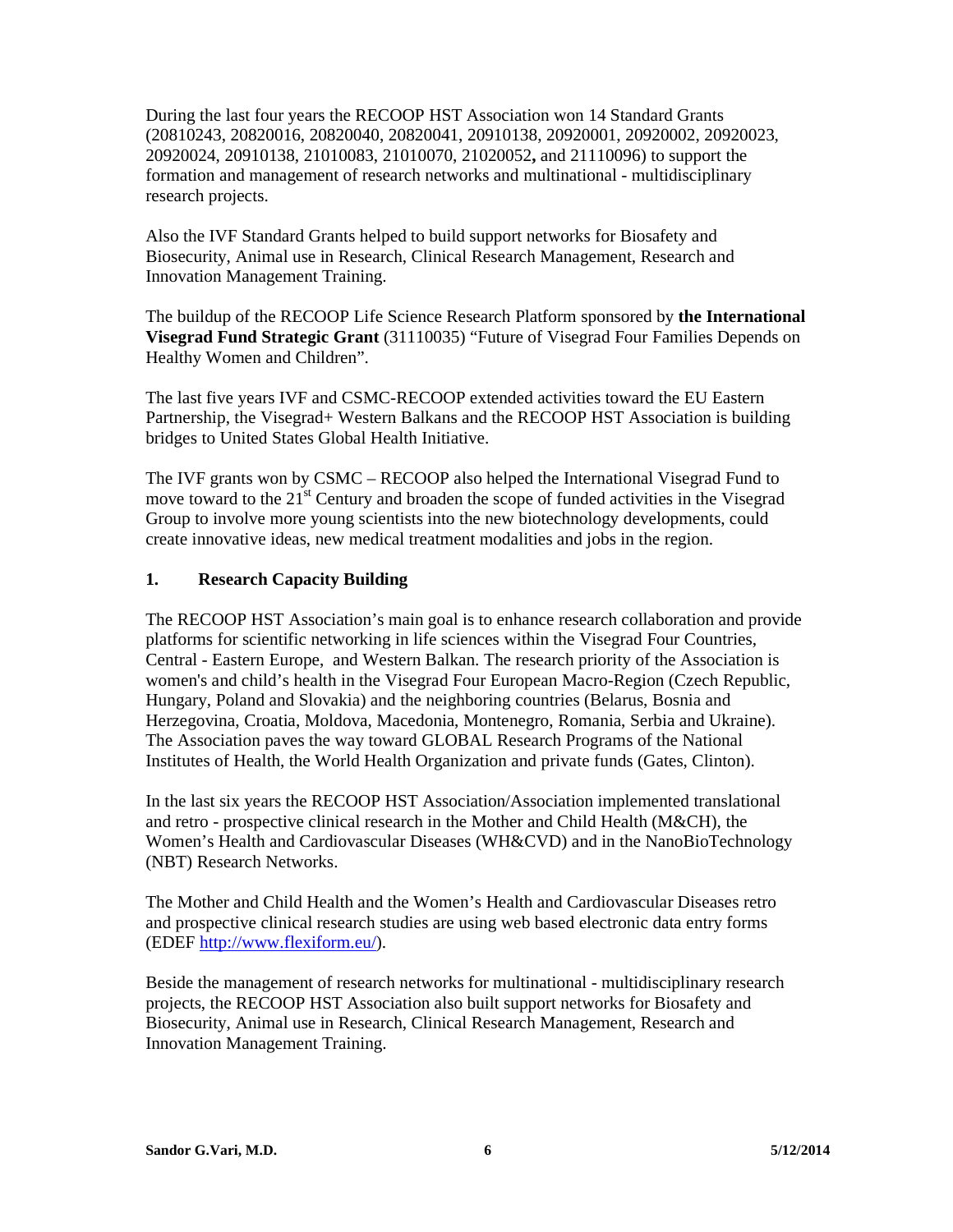During the last four years the RECOOP HST Association won 14 Standard Grants (20810243, 20820016, 20820040, 20820041, 20910138, 20920001, 20920002, 20920023, 20920024, 20910138, 21010083, 21010070, 21020052**,** and 21110096) to support the formation and management of research networks and multinational - multidisciplinary research projects.

Also the IVF Standard Grants helped to build support networks for Biosafety and Biosecurity, Animal use in Research, Clinical Research Management, Research and Innovation Management Training.

The buildup of the RECOOP Life Science Research Platform sponsored by **the International Visegrad Fund Strategic Grant** (31110035) "Future of Visegrad Four Families Depends on Healthy Women and Children".

The last five years IVF and CSMC-RECOOP extended activities toward the EU Eastern Partnership, the Visegrad+ Western Balkans and the RECOOP HST Association is building bridges to United States Global Health Initiative.

The IVF grants won by CSMC – RECOOP also helped the International Visegrad Fund to move toward to the  $21<sup>st</sup>$  Century and broaden the scope of funded activities in the Visegrad Group to involve more young scientists into the new biotechnology developments, could create innovative ideas, new medical treatment modalities and jobs in the region.

## **1. Research Capacity Building**

The RECOOP HST Association's main goal is to enhance research collaboration and provide platforms for scientific networking in life sciences within the Visegrad Four Countries, Central - Eastern Europe, and Western Balkan. The research priority of the Association is women's and child's health in the Visegrad Four European Macro-Region (Czech Republic, Hungary, Poland and Slovakia) and the neighboring countries (Belarus, Bosnia and Herzegovina, Croatia, Moldova, Macedonia, Montenegro, Romania, Serbia and Ukraine). The Association paves the way toward GLOBAL Research Programs of the National Institutes of Health, the World Health Organization and private funds (Gates, Clinton).

In the last six years the RECOOP HST Association/Association implemented translational and retro - prospective clinical research in the Mother and Child Health (M&CH), the Women's Health and Cardiovascular Diseases (WH&CVD) and in the NanoBioTechnology (NBT) Research Networks.

The Mother and Child Health and the Women's Health and Cardiovascular Diseases retro and prospective clinical research studies are using web based electronic data entry forms (EDEF http://www.flexiform.eu/).

Beside the management of research networks for multinational - multidisciplinary research projects, the RECOOP HST Association also built support networks for Biosafety and Biosecurity, Animal use in Research, Clinical Research Management, Research and Innovation Management Training.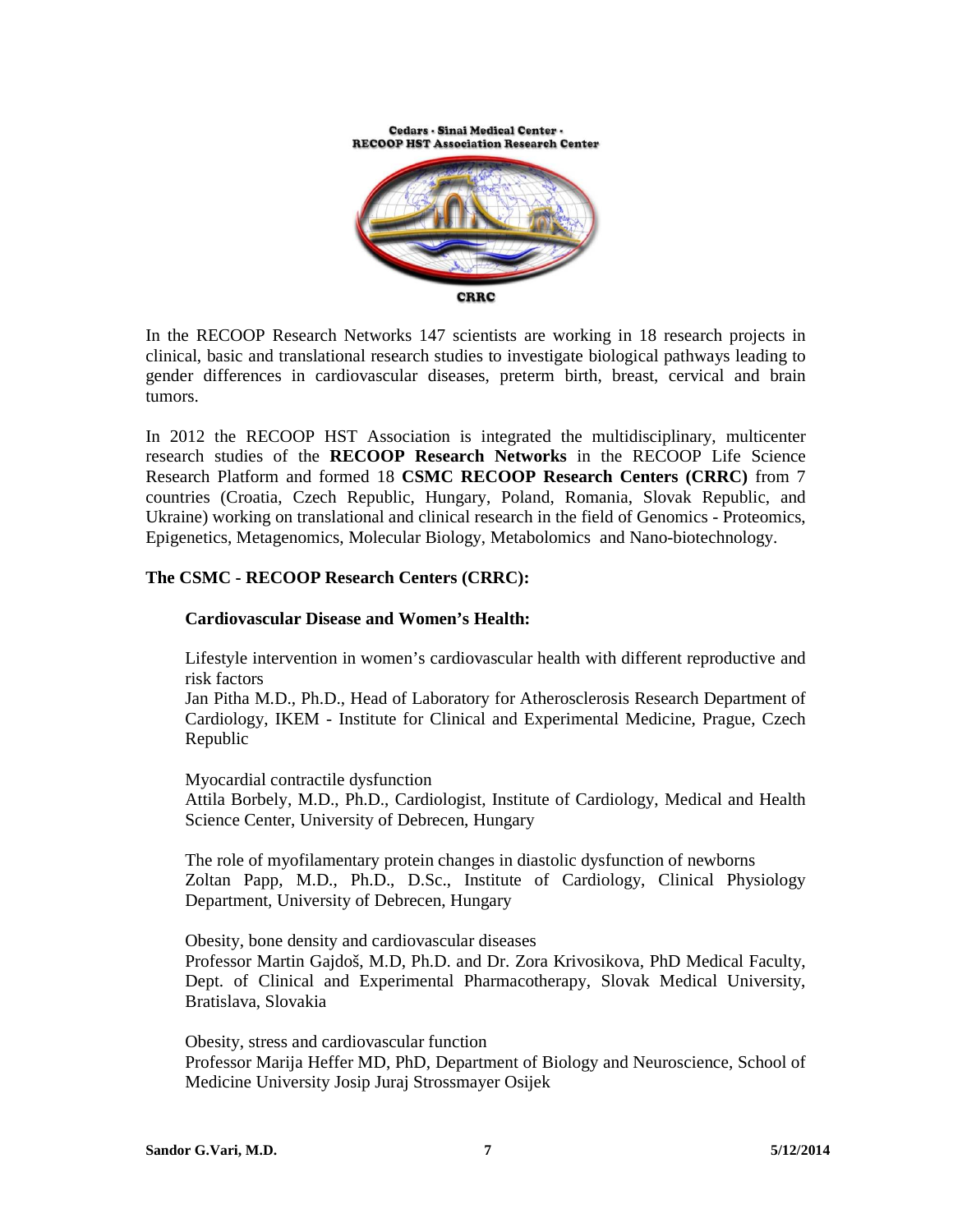Cedars - Sinai Medical Center -**RECOOP HST Association Research Center** 



In the RECOOP Research Networks 147 scientists are working in 18 research projects in clinical, basic and translational research studies to investigate biological pathways leading to gender differences in cardiovascular diseases, preterm birth, breast, cervical and brain tumors.

In 2012 the RECOOP HST Association is integrated the multidisciplinary, multicenter research studies of the **RECOOP Research Networks** in the RECOOP Life Science Research Platform and formed 18 **CSMC RECOOP Research Centers (CRRC)** from 7 countries (Croatia, Czech Republic, Hungary, Poland, Romania, Slovak Republic, and Ukraine) working on translational and clinical research in the field of Genomics - Proteomics, Epigenetics, Metagenomics, Molecular Biology, Metabolomics and Nano-biotechnology.

## **The CSMC - RECOOP Research Centers (CRRC):**

#### **Cardiovascular Disease and Women's Health:**

Lifestyle intervention in women's cardiovascular health with different reproductive and risk factors

Jan Pitha M.D., Ph.D., Head of Laboratory for Atherosclerosis Research Department of Cardiology, IKEM - Institute for Clinical and Experimental Medicine, Prague, Czech Republic

Myocardial contractile dysfunction Attila Borbely, M.D., Ph.D., Cardiologist, Institute of Cardiology, Medical and Health Science Center, University of Debrecen, Hungary

The role of myofilamentary protein changes in diastolic dysfunction of newborns Zoltan Papp, M.D., Ph.D., D.Sc., Institute of Cardiology, Clinical Physiology Department, University of Debrecen, Hungary

Obesity, bone density and cardiovascular diseases Professor Martin Gajdoš, M.D, Ph.D. and Dr. Zora Krivosikova, PhD Medical Faculty, Dept. of Clinical and Experimental Pharmacotherapy, Slovak Medical University, Bratislava, Slovakia

Obesity, stress and cardiovascular function Professor Marija Heffer MD, PhD, Department of Biology and Neuroscience, School of Medicine University Josip Juraj Strossmayer Osijek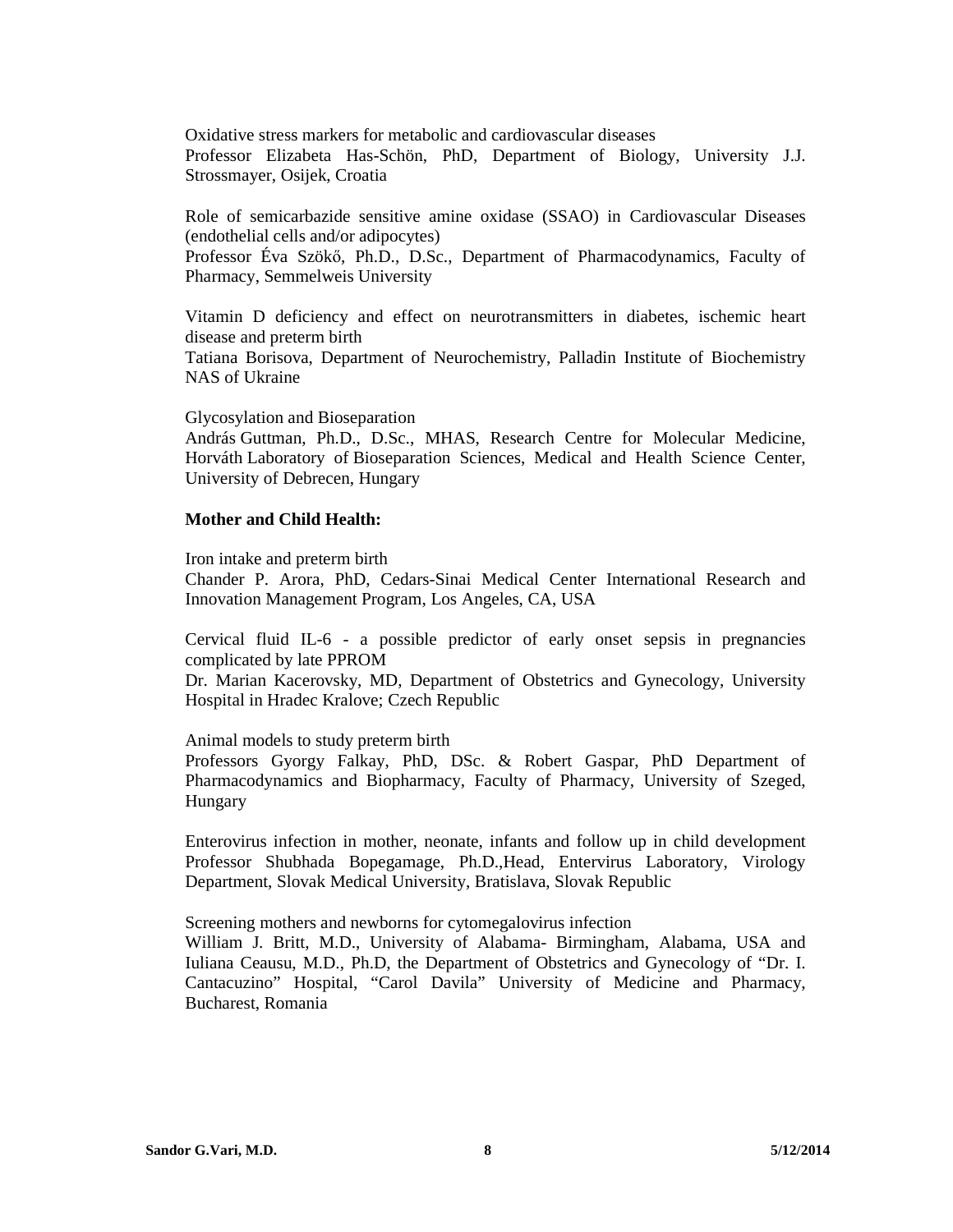Oxidative stress markers for metabolic and cardiovascular diseases Professor Elizabeta Has-Schön, PhD, Department of Biology, University J.J. Strossmayer, Osijek, Croatia

Role of semicarbazide sensitive amine oxidase (SSAO) in Cardiovascular Diseases (endothelial cells and/or adipocytes)

Professor Éva Szökő, Ph.D., D.Sc., Department of Pharmacodynamics, Faculty of Pharmacy, Semmelweis University

Vitamin D deficiency and effect on neurotransmitters in diabetes, ischemic heart disease and preterm birth

Tatiana Borisova, Department of Neurochemistry, Palladin Institute of Biochemistry NAS of Ukraine

Glycosylation and Bioseparation

András Guttman, Ph.D., D.Sc., MHAS, Research Centre for Molecular Medicine, Horváth Laboratory of Bioseparation Sciences, Medical and Health Science Center, University of Debrecen, Hungary

#### **Mother and Child Health:**

Iron intake and preterm birth

Chander P. Arora, PhD, Cedars-Sinai Medical Center International Research and Innovation Management Program, Los Angeles, CA, USA

Cervical fluid IL-6 - a possible predictor of early onset sepsis in pregnancies complicated by late PPROM

Dr. Marian Kacerovsky, MD, Department of Obstetrics and Gynecology, University Hospital in Hradec Kralove; Czech Republic

Animal models to study preterm birth

Professors Gyorgy Falkay, PhD, DSc. & Robert Gaspar, PhD Department of Pharmacodynamics and Biopharmacy, Faculty of Pharmacy, University of Szeged, Hungary

Enterovirus infection in mother, neonate, infants and follow up in child development Professor Shubhada Bopegamage, Ph.D.,Head, Entervirus Laboratory, Virology Department, Slovak Medical University, Bratislava, Slovak Republic

Screening mothers and newborns for cytomegalovirus infection

William J. Britt, M.D., University of Alabama- Birmingham, Alabama, USA and Iuliana Ceausu, M.D., Ph.D, the Department of Obstetrics and Gynecology of "Dr. I. Cantacuzino" Hospital, "Carol Davila" University of Medicine and Pharmacy, Bucharest, Romania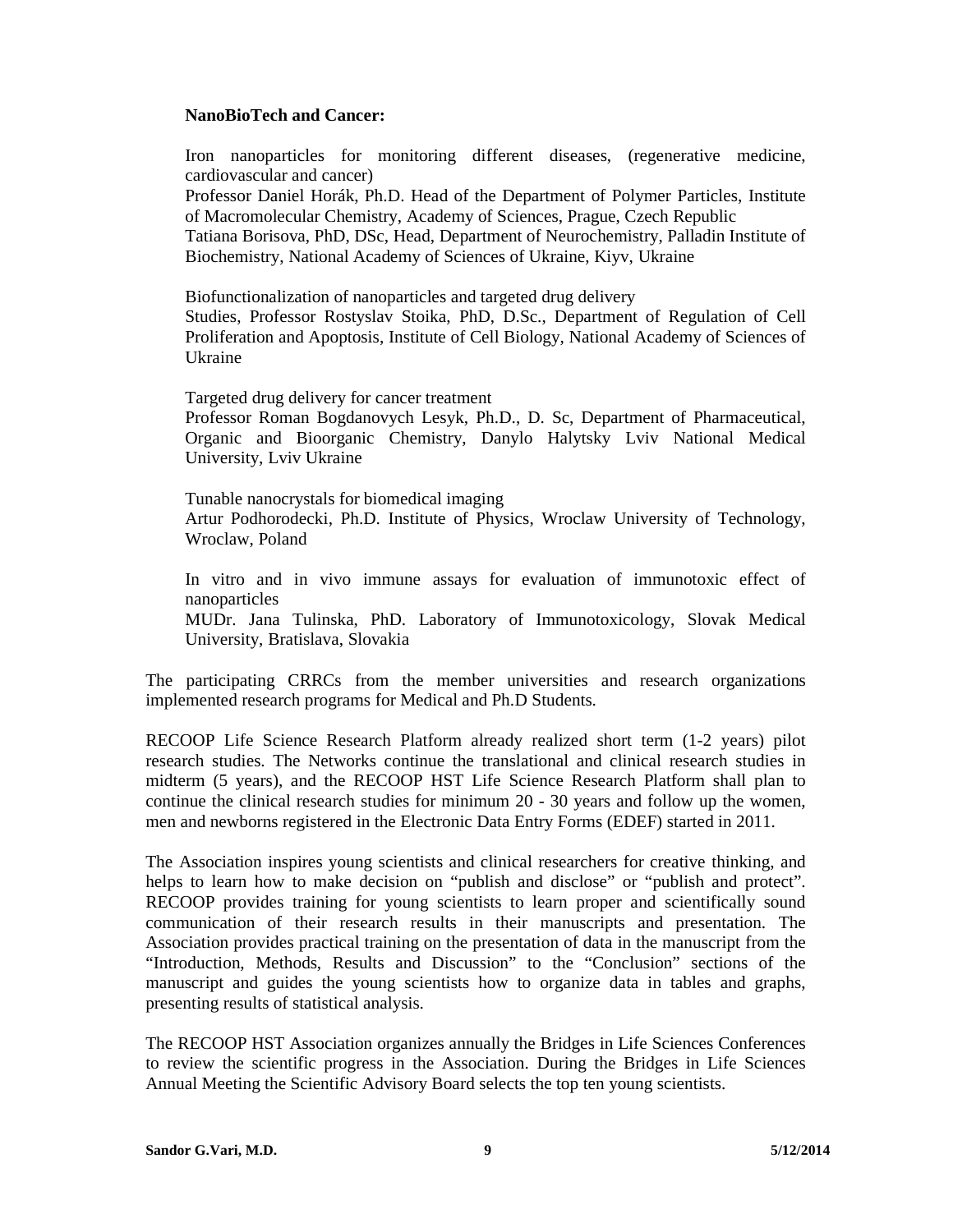#### **NanoBioTech and Cancer:**

Iron nanoparticles for monitoring different diseases, (regenerative medicine, cardiovascular and cancer)

Professor Daniel Horák, Ph.D. Head of the Department of Polymer Particles, Institute of Macromolecular Chemistry, Academy of Sciences, Prague, Czech Republic

Tatiana Borisova, PhD, DSc, Head, Department of Neurochemistry, Palladin Institute of Biochemistry, National Academy of Sciences of Ukraine, Kiyv, Ukraine

Biofunctionalization of nanoparticles and targeted drug delivery

Studies, Professor Rostyslav Stoika, PhD, D.Sc., Department of Regulation of Cell Proliferation and Apoptosis, Institute of Cell Biology, National Academy of Sciences of Ukraine

Targeted drug delivery for cancer treatment

Professor Roman Bogdanovych Lesyk, Ph.D., D. Sc, Department of Pharmaceutical, Organic and Bioorganic Chemistry, Danylo Halytsky Lviv National Medical University, Lviv Ukraine

Tunable nanocrystals for biomedical imaging Artur Podhorodecki, Ph.D. Institute of Physics, Wroclaw University of Technology, Wroclaw, Poland

In vitro and in vivo immune assays for evaluation of immunotoxic effect of nanoparticles

MUDr. Jana Tulinska, PhD. Laboratory of Immunotoxicology, Slovak Medical University, Bratislava, Slovakia

The participating CRRCs from the member universities and research organizations implemented research programs for Medical and Ph.D Students.

RECOOP Life Science Research Platform already realized short term (1-2 years) pilot research studies. The Networks continue the translational and clinical research studies in midterm (5 years), and the RECOOP HST Life Science Research Platform shall plan to continue the clinical research studies for minimum 20 - 30 years and follow up the women, men and newborns registered in the Electronic Data Entry Forms (EDEF) started in 2011.

The Association inspires young scientists and clinical researchers for creative thinking, and helps to learn how to make decision on "publish and disclose" or "publish and protect". RECOOP provides training for young scientists to learn proper and scientifically sound communication of their research results in their manuscripts and presentation. The Association provides practical training on the presentation of data in the manuscript from the "Introduction, Methods, Results and Discussion" to the "Conclusion" sections of the manuscript and guides the young scientists how to organize data in tables and graphs, presenting results of statistical analysis.

The RECOOP HST Association organizes annually the Bridges in Life Sciences Conferences to review the scientific progress in the Association. During the Bridges in Life Sciences Annual Meeting the Scientific Advisory Board selects the top ten young scientists.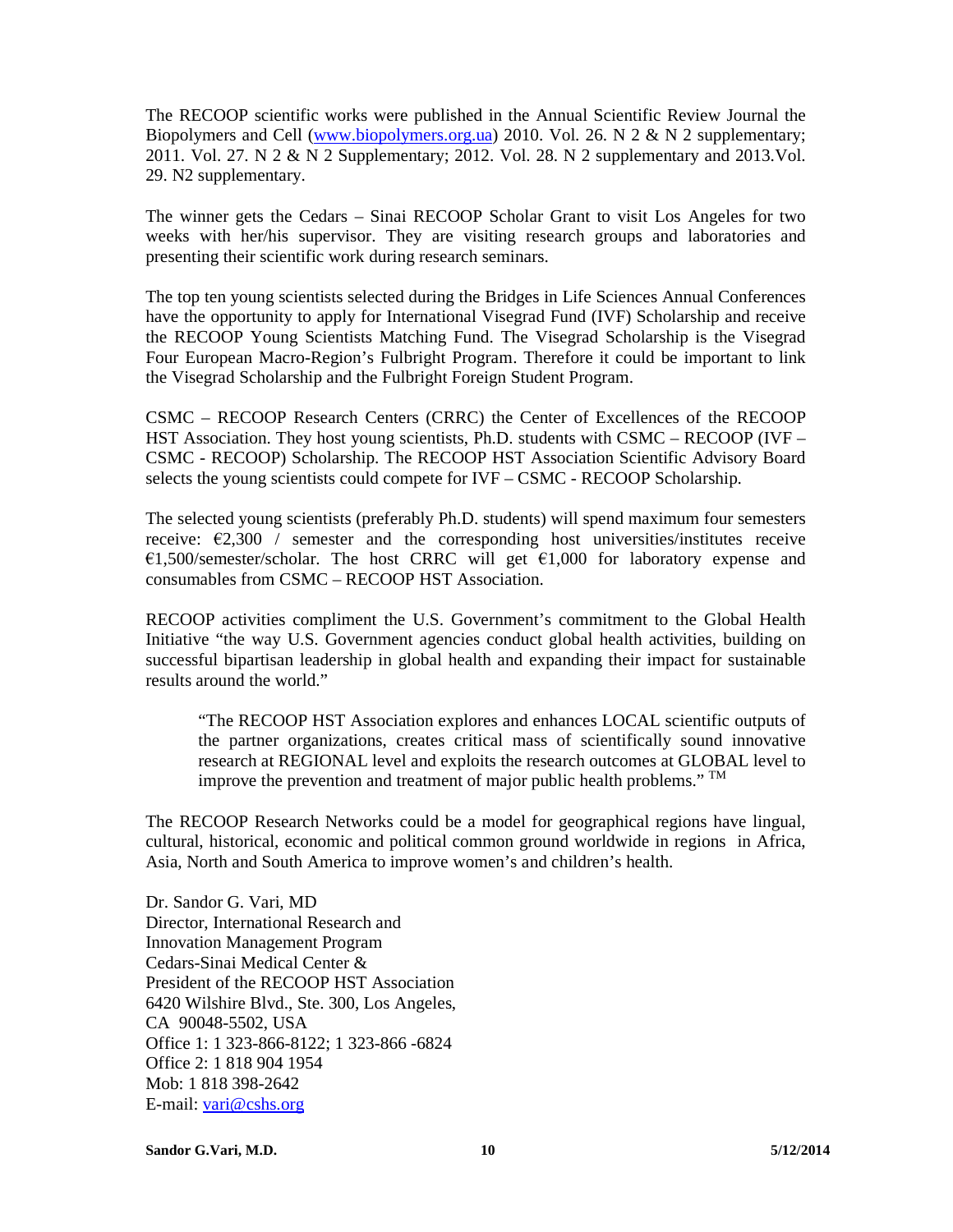The RECOOP scientific works were published in the Annual Scientific Review Journal the Biopolymers and Cell (www.biopolymers.org.ua) 2010. Vol. 26. N 2 & N 2 supplementary; 2011. Vol. 27. N 2 & N 2 Supplementary; 2012. Vol. 28. N 2 supplementary and 2013.Vol. 29. N2 supplementary.

The winner gets the Cedars – Sinai RECOOP Scholar Grant to visit Los Angeles for two weeks with her/his supervisor. They are visiting research groups and laboratories and presenting their scientific work during research seminars.

The top ten young scientists selected during the Bridges in Life Sciences Annual Conferences have the opportunity to apply for International Visegrad Fund (IVF) Scholarship and receive the RECOOP Young Scientists Matching Fund. The Visegrad Scholarship is the Visegrad Four European Macro-Region's Fulbright Program. Therefore it could be important to link the Visegrad Scholarship and the Fulbright Foreign Student Program.

CSMC – RECOOP Research Centers (CRRC) the Center of Excellences of the RECOOP HST Association. They host young scientists, Ph.D. students with CSMC – RECOOP (IVF – CSMC - RECOOP) Scholarship. The RECOOP HST Association Scientific Advisory Board selects the young scientists could compete for IVF – CSMC - RECOOP Scholarship.

The selected young scientists (preferably Ph.D. students) will spend maximum four semesters receive:  $\epsilon$ 2,300 / semester and the corresponding host universities/institutes receive €1,500/semester/scholar. The host CRRC will get  $€1,000$  for laboratory expense and consumables from CSMC – RECOOP HST Association.

RECOOP activities compliment the U.S. Government's commitment to the Global Health Initiative "the way U.S. Government agencies conduct global health activities, building on successful bipartisan leadership in global health and expanding their impact for sustainable results around the world."

"The RECOOP HST Association explores and enhances LOCAL scientific outputs of the partner organizations, creates critical mass of scientifically sound innovative research at REGIONAL level and exploits the research outcomes at GLOBAL level to improve the prevention and treatment of major public health problems." TM

The RECOOP Research Networks could be a model for geographical regions have lingual, cultural, historical, economic and political common ground worldwide in regions in Africa, Asia, North and South America to improve women's and children's health.

Dr. Sandor G. Vari, MD Director, International Research and Innovation Management Program Cedars-Sinai Medical Center & President of the RECOOP HST Association 6420 Wilshire Blvd., Ste. 300, Los Angeles, CA 90048-5502, USA Office 1: 1 323-866-8122; 1 323-866 -6824 Office 2: 1 818 904 1954 Mob: 1 818 398-2642 E-mail: vari@cshs.org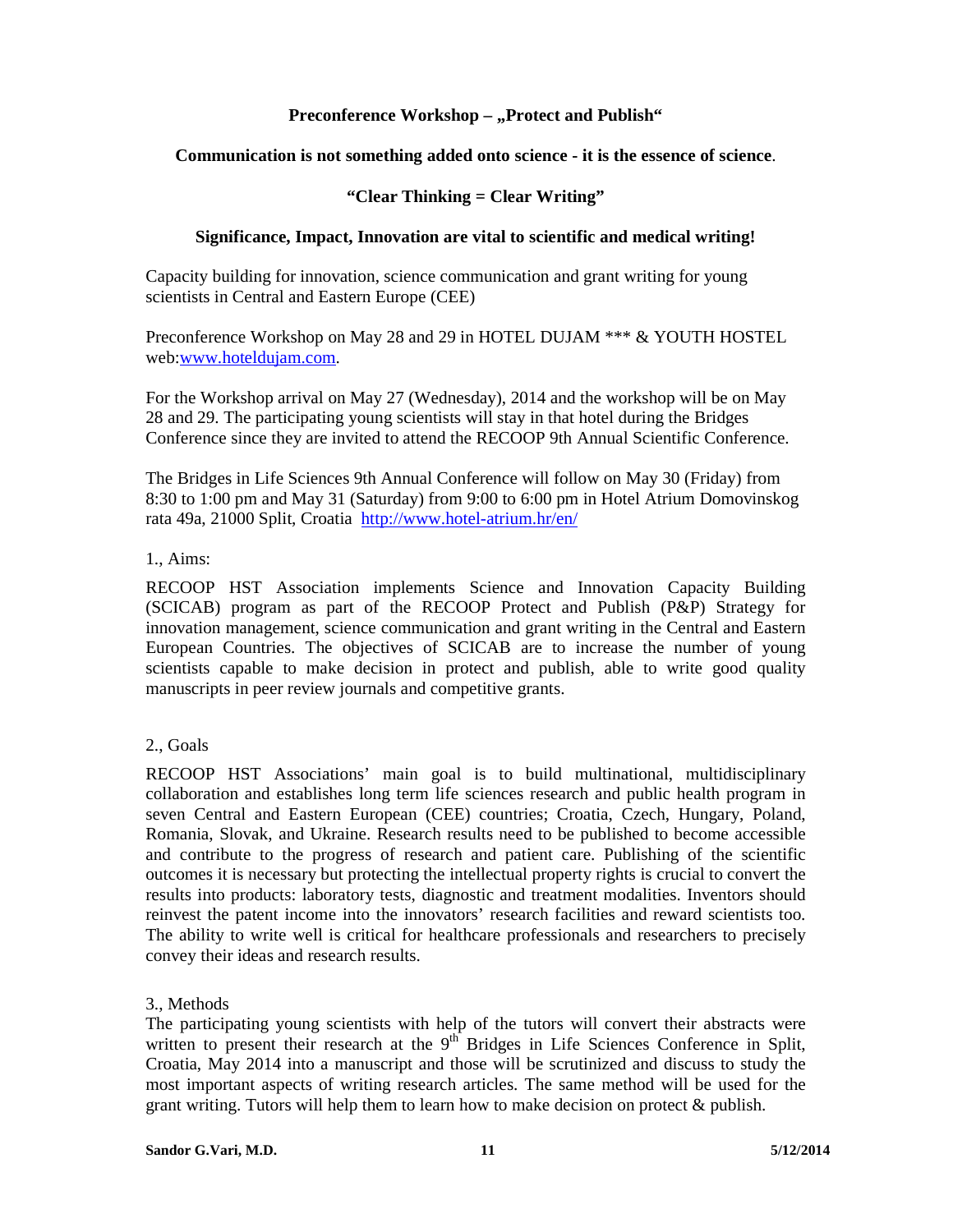## Preconference Workshop - "Protect and Publish"

## **Communication is not something added onto science - it is the essence of science**.

## **"Clear Thinking = Clear Writing"**

#### **Significance, Impact, Innovation are vital to scientific and medical writing!**

Capacity building for innovation, science communication and grant writing for young scientists in Central and Eastern Europe (CEE)

Preconference Workshop on May 28 and 29 in HOTEL DUJAM \*\*\* & YOUTH HOSTEL web:www.hoteldujam.com.

For the Workshop arrival on May 27 (Wednesday), 2014 and the workshop will be on May 28 and 29. The participating young scientists will stay in that hotel during the Bridges Conference since they are invited to attend the RECOOP 9th Annual Scientific Conference.

The Bridges in Life Sciences 9th Annual Conference will follow on May 30 (Friday) from 8:30 to 1:00 pm and May 31 (Saturday) from 9:00 to 6:00 pm in Hotel Atrium Domovinskog rata 49a, 21000 Split, Croatia http://www.hotel-atrium.hr/en/

#### 1., Aims:

RECOOP HST Association implements Science and Innovation Capacity Building (SCICAB) program as part of the RECOOP Protect and Publish (P&P) Strategy for innovation management, science communication and grant writing in the Central and Eastern European Countries. The objectives of SCICAB are to increase the number of young scientists capable to make decision in protect and publish, able to write good quality manuscripts in peer review journals and competitive grants.

## 2., Goals

RECOOP HST Associations' main goal is to build multinational, multidisciplinary collaboration and establishes long term life sciences research and public health program in seven Central and Eastern European (CEE) countries; Croatia, Czech, Hungary, Poland, Romania, Slovak, and Ukraine. Research results need to be published to become accessible and contribute to the progress of research and patient care. Publishing of the scientific outcomes it is necessary but protecting the intellectual property rights is crucial to convert the results into products: laboratory tests, diagnostic and treatment modalities. Inventors should reinvest the patent income into the innovators' research facilities and reward scientists too. The ability to write well is critical for healthcare professionals and researchers to precisely convey their ideas and research results.

#### 3., Methods

The participating young scientists with help of the tutors will convert their abstracts were written to present their research at the  $9<sup>th</sup>$  Bridges in Life Sciences Conference in Split, Croatia, May 2014 into a manuscript and those will be scrutinized and discuss to study the most important aspects of writing research articles. The same method will be used for the grant writing. Tutors will help them to learn how to make decision on protect  $\&$  publish.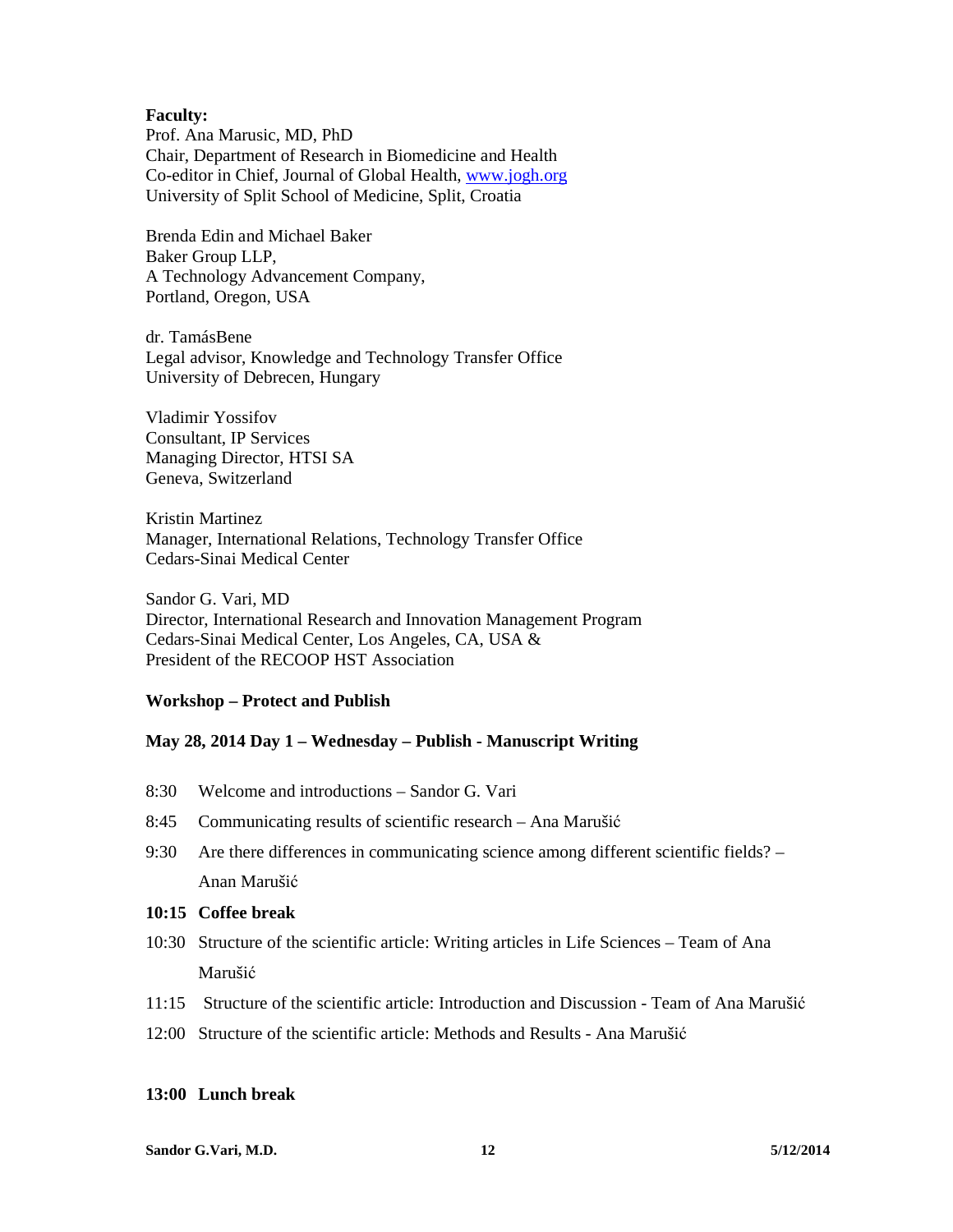#### **Faculty:**

Prof. Ana Marusic, MD, PhD Chair, Department of Research in Biomedicine and Health Co-editor in Chief, Journal of Global Health, www.jogh.org University of Split School of Medicine, Split, Croatia

Brenda Edin and Michael Baker Baker Group LLP, A Technology Advancement Company, Portland, Oregon, USA

dr. TamásBene Legal advisor, Knowledge and Technology Transfer Office University of Debrecen, Hungary

Vladimir Yossifov Consultant, IP Services Managing Director, HTSI SA Geneva, Switzerland

Kristin Martinez Manager, International Relations, Technology Transfer Office Cedars-Sinai Medical Center

Sandor G. Vari, MD Director, International Research and Innovation Management Program Cedars-Sinai Medical Center, Los Angeles, CA, USA & President of the RECOOP HST Association

#### **Workshop – Protect and Publish**

#### **May 28, 2014 Day 1 – Wednesday – Publish - Manuscript Writing**

- 8:30 Welcome and introductions Sandor G. Vari
- 8:45 Communicating results of scientific research Ana Marušić
- 9:30 Are there differences in communicating science among different scientific fields? Anan Marušić

#### **10:15 Coffee break**

- 10:30 Structure of the scientific article: Writing articles in Life Sciences Team of Ana Marušić
- 11:15 Structure of the scientific article: Introduction and Discussion Team of Ana Marušić
- 12:00 Structure of the scientific article: Methods and Results Ana Marušić

## **13:00 Lunch break**

**Sandor G.Vari, M.D.** 12 5/12/2014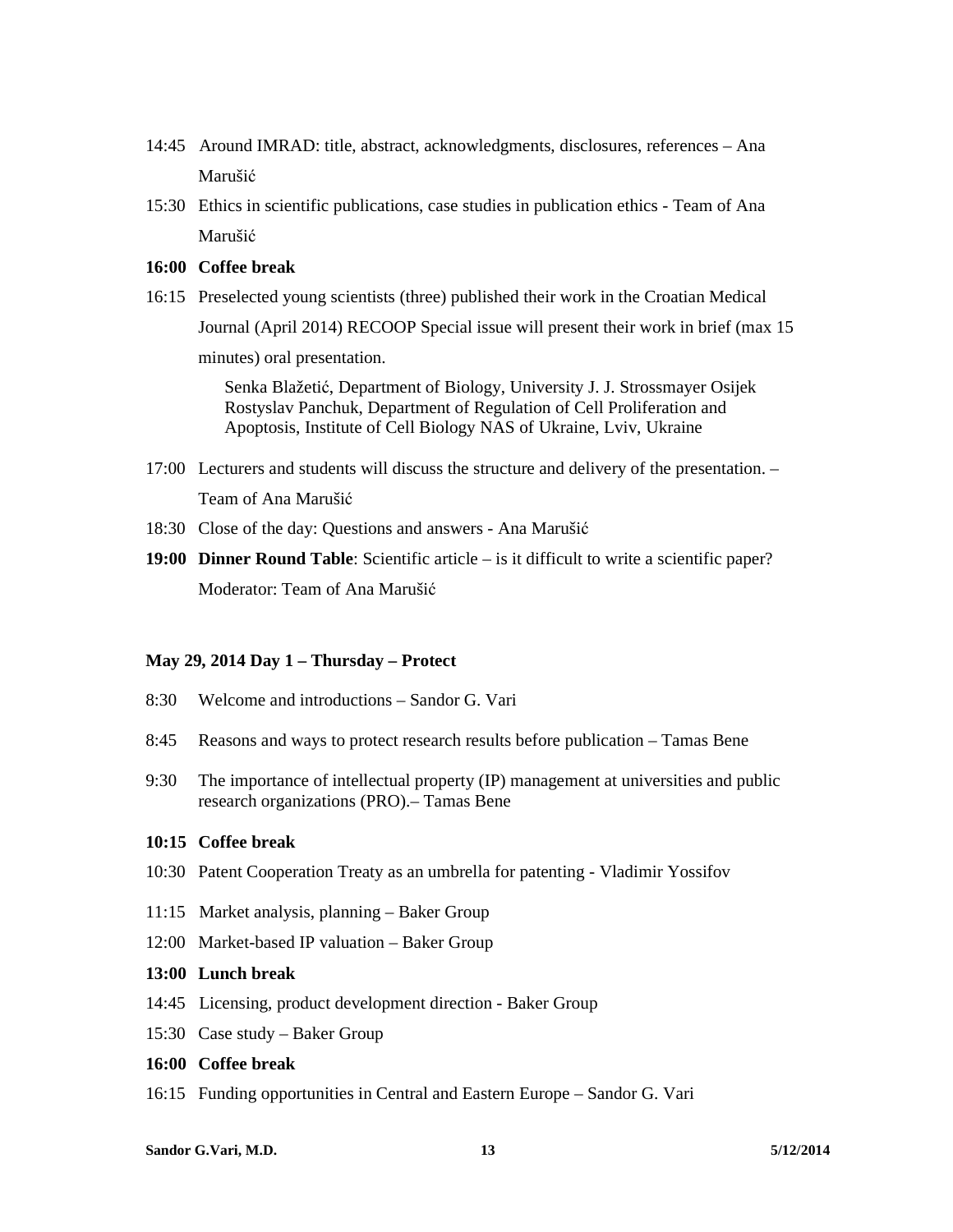- 14:45 Around IMRAD: title, abstract, acknowledgments, disclosures, references Ana Marušić
- 15:30 Ethics in scientific publications, case studies in publication ethics Team of Ana Marušić

#### **16:00 Coffee break**

16:15 Preselected young scientists (three) published their work in the Croatian Medical Journal (April 2014) RECOOP Special issue will present their work in brief (max 15 minutes) oral presentation.

> Senka Blažetić, Department of Biology, University J. J. Strossmayer Osijek Rostyslav Panchuk, Department of Regulation of Cell Proliferation and Apoptosis, Institute of Cell Biology NAS of Ukraine, Lviv, Ukraine

- 17:00 Lecturers and students will discuss the structure and delivery of the presentation. Team of Ana Marušić
- 18:30 Close of the day: Questions and answers Ana Marušić
- **19:00 Dinner Round Table**: Scientific article is it difficult to write a scientific paper? Moderator: Team of Ana Marušić

#### **May 29, 2014 Day 1 – Thursday – Protect**

- 8:30 Welcome and introductions Sandor G. Vari
- 8:45 Reasons and ways to protect research results before publication Tamas Bene
- 9:30 The importance of intellectual property (IP) management at universities and public research organizations (PRO).– Tamas Bene

#### **10:15 Coffee break**

- 10:30 Patent Cooperation Treaty as an umbrella for patenting Vladimir Yossifov
- 11:15 Market analysis, planning Baker Group
- 12:00 Market-based IP valuation Baker Group

#### **13:00 Lunch break**

- 14:45 Licensing, product development direction Baker Group
- 15:30 Case study Baker Group

## **16:00 Coffee break**

16:15 Funding opportunities in Central and Eastern Europe – Sandor G. Vari

#### **Sandor G.Vari, M.D.** 13 5/12/2014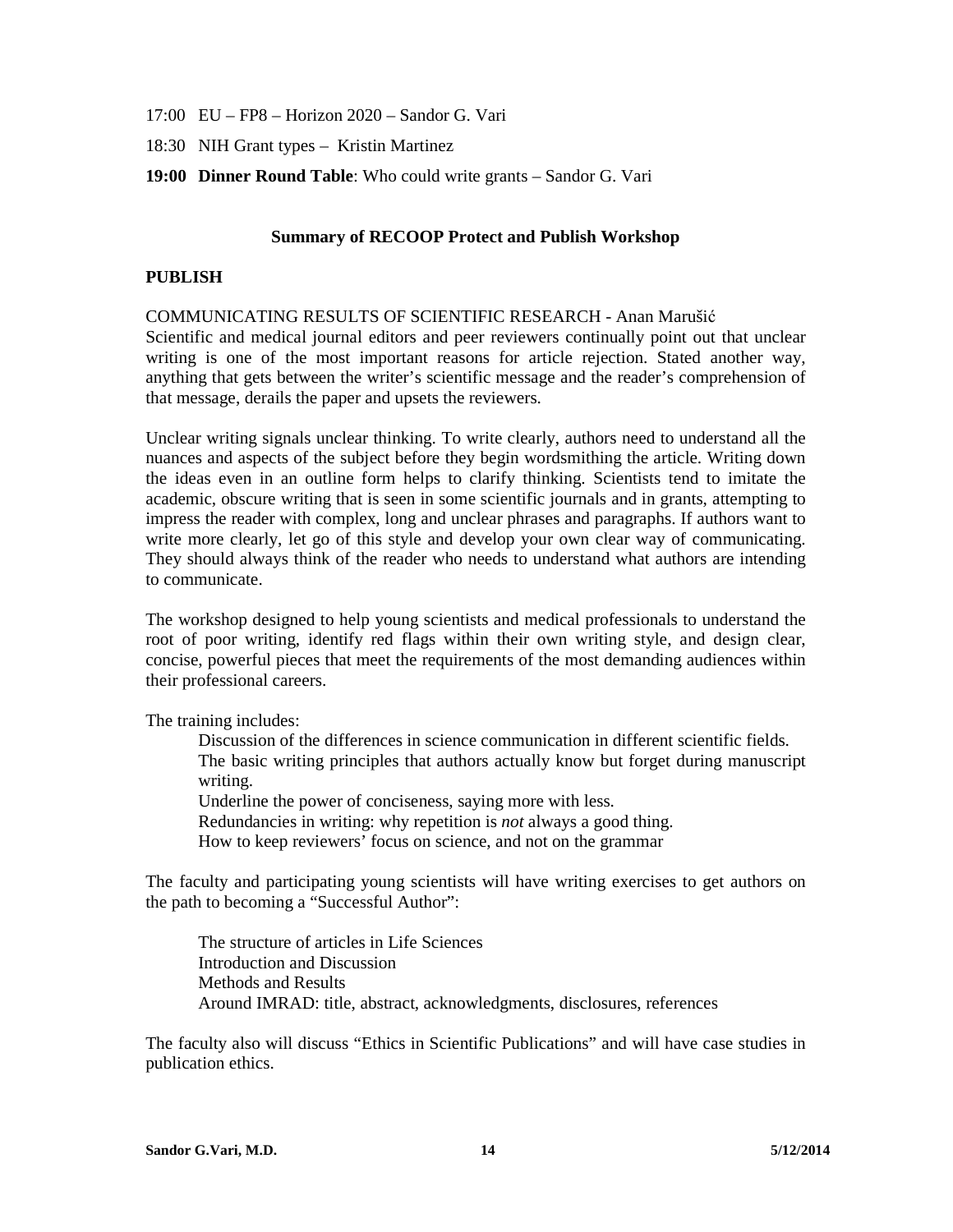- 17:00 EU FP8 Horizon 2020 Sandor G. Vari
- 18:30 NIH Grant types Kristin Martinez
- **19:00 Dinner Round Table**: Who could write grants Sandor G. Vari

#### **Summary of RECOOP Protect and Publish Workshop**

#### **PUBLISH**

#### COMMUNICATING RESULTS OF SCIENTIFIC RESEARCH - Anan Marušić

Scientific and medical journal editors and peer reviewers continually point out that unclear writing is one of the most important reasons for article rejection. Stated another way, anything that gets between the writer's scientific message and the reader's comprehension of that message, derails the paper and upsets the reviewers.

Unclear writing signals unclear thinking. To write clearly, authors need to understand all the nuances and aspects of the subject before they begin wordsmithing the article. Writing down the ideas even in an outline form helps to clarify thinking. Scientists tend to imitate the academic, obscure writing that is seen in some scientific journals and in grants, attempting to impress the reader with complex, long and unclear phrases and paragraphs. If authors want to write more clearly, let go of this style and develop your own clear way of communicating. They should always think of the reader who needs to understand what authors are intending to communicate.

The workshop designed to help young scientists and medical professionals to understand the root of poor writing, identify red flags within their own writing style, and design clear, concise, powerful pieces that meet the requirements of the most demanding audiences within their professional careers.

The training includes:

Discussion of the differences in science communication in different scientific fields. The basic writing principles that authors actually know but forget during manuscript writing.

Underline the power of conciseness, saying more with less. Redundancies in writing: why repetition is *not* always a good thing. How to keep reviewers' focus on science, and not on the grammar

The faculty and participating young scientists will have writing exercises to get authors on the path to becoming a "Successful Author":

The structure of articles in Life Sciences Introduction and Discussion Methods and Results Around IMRAD: title, abstract, acknowledgments, disclosures, references

The faculty also will discuss "Ethics in Scientific Publications" and will have case studies in publication ethics.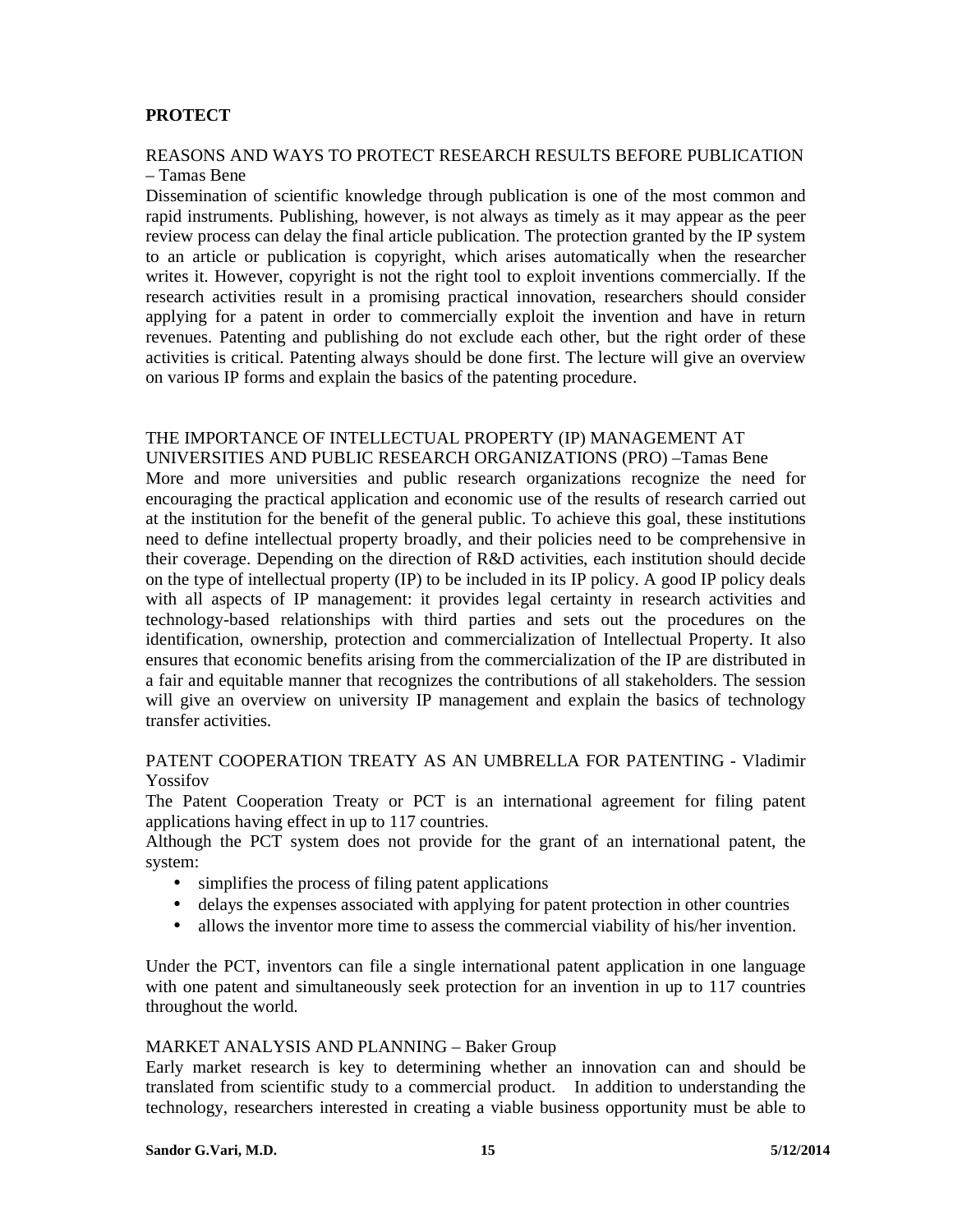## **PROTECT**

# REASONS AND WAYS TO PROTECT RESEARCH RESULTS BEFORE PUBLICATION

#### – Tamas Bene

Dissemination of scientific knowledge through publication is one of the most common and rapid instruments. Publishing, however, is not always as timely as it may appear as the peer review process can delay the final article publication. The protection granted by the IP system to an article or publication is copyright, which arises automatically when the researcher writes it. However, copyright is not the right tool to exploit inventions commercially. If the research activities result in a promising practical innovation, researchers should consider applying for a patent in order to commercially exploit the invention and have in return revenues. Patenting and publishing do not exclude each other, but the right order of these activities is critical. Patenting always should be done first. The lecture will give an overview on various IP forms and explain the basics of the patenting procedure.

## THE IMPORTANCE OF INTELLECTUAL PROPERTY (IP) MANAGEMENT AT

UNIVERSITIES AND PUBLIC RESEARCH ORGANIZATIONS (PRO) –Tamas Bene More and more universities and public research organizations recognize the need for encouraging the practical application and economic use of the results of research carried out at the institution for the benefit of the general public. To achieve this goal, these institutions need to define intellectual property broadly, and their policies need to be comprehensive in their coverage. Depending on the direction of R&D activities, each institution should decide on the type of intellectual property (IP) to be included in its IP policy. A good IP policy deals with all aspects of IP management: it provides legal certainty in research activities and technology-based relationships with third parties and sets out the procedures on the identification, ownership, protection and commercialization of Intellectual Property. It also ensures that economic benefits arising from the commercialization of the IP are distributed in a fair and equitable manner that recognizes the contributions of all stakeholders. The session will give an overview on university IP management and explain the basics of technology transfer activities.

## PATENT COOPERATION TREATY AS AN UMBRELLA FOR PATENTING - Vladimir Yossifov

The Patent Cooperation Treaty or PCT is an international agreement for filing patent applications having effect in up to 117 countries.

Although the PCT system does not provide for the grant of an international patent, the system:

- simplifies the process of filing patent applications
- delays the expenses associated with applying for patent protection in other countries
- allows the inventor more time to assess the commercial viability of his/her invention.

Under the PCT, inventors can file a single international patent application in one language with one patent and simultaneously seek protection for an invention in up to 117 countries throughout the world.

#### MARKET ANALYSIS AND PLANNING – Baker Group

Early market research is key to determining whether an innovation can and should be translated from scientific study to a commercial product. In addition to understanding the technology, researchers interested in creating a viable business opportunity must be able to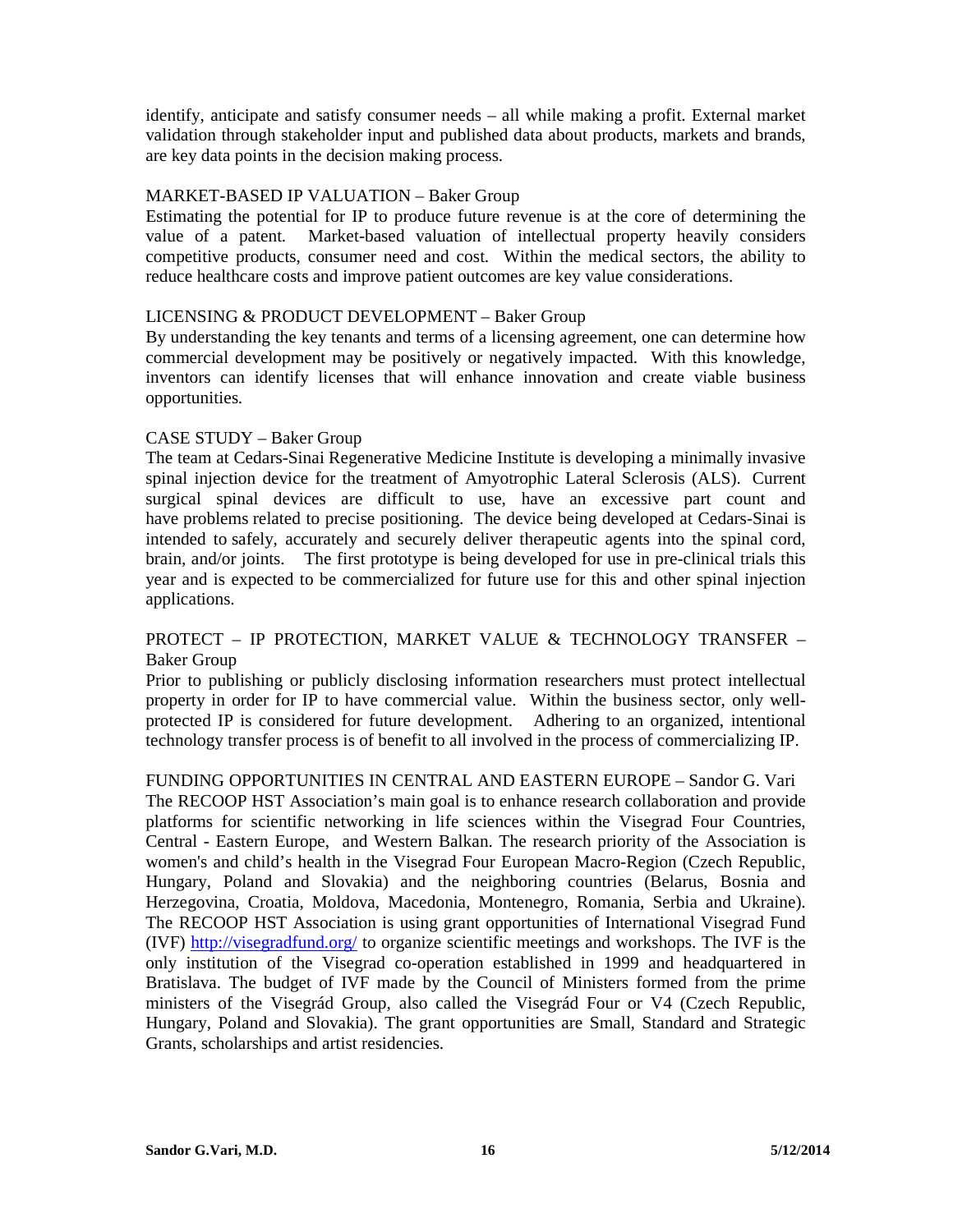identify, anticipate and satisfy consumer needs – all while making a profit. External market validation through stakeholder input and published data about products, markets and brands, are key data points in the decision making process.

## MARKET-BASED IP VALUATION – Baker Group

Estimating the potential for IP to produce future revenue is at the core of determining the value of a patent. Market-based valuation of intellectual property heavily considers competitive products, consumer need and cost. Within the medical sectors, the ability to reduce healthcare costs and improve patient outcomes are key value considerations.

## LICENSING & PRODUCT DEVELOPMENT – Baker Group

By understanding the key tenants and terms of a licensing agreement, one can determine how commercial development may be positively or negatively impacted. With this knowledge, inventors can identify licenses that will enhance innovation and create viable business opportunities.

## CASE STUDY – Baker Group

The team at Cedars-Sinai Regenerative Medicine Institute is developing a minimally invasive spinal injection device for the treatment of Amyotrophic Lateral Sclerosis (ALS). Current surgical spinal devices are difficult to use, have an excessive part count and have problems related to precise positioning. The device being developed at Cedars-Sinai is intended to safely, accurately and securely deliver therapeutic agents into the spinal cord, brain, and/or joints. The first prototype is being developed for use in pre-clinical trials this year and is expected to be commercialized for future use for this and other spinal injection applications.

## PROTECT – IP PROTECTION, MARKET VALUE & TECHNOLOGY TRANSFER – Baker Group

Prior to publishing or publicly disclosing information researchers must protect intellectual property in order for IP to have commercial value. Within the business sector, only wellprotected IP is considered for future development. Adhering to an organized, intentional technology transfer process is of benefit to all involved in the process of commercializing IP.

FUNDING OPPORTUNITIES IN CENTRAL AND EASTERN EUROPE – Sandor G. Vari The RECOOP HST Association's main goal is to enhance research collaboration and provide platforms for scientific networking in life sciences within the Visegrad Four Countries, Central - Eastern Europe, and Western Balkan. The research priority of the Association is women's and child's health in the Visegrad Four European Macro-Region (Czech Republic, Hungary, Poland and Slovakia) and the neighboring countries (Belarus, Bosnia and Herzegovina, Croatia, Moldova, Macedonia, Montenegro, Romania, Serbia and Ukraine). The RECOOP HST Association is using grant opportunities of International Visegrad Fund (IVF) http://visegradfund.org/ to organize scientific meetings and workshops. The IVF is the only institution of the Visegrad co-operation established in 1999 and headquartered in Bratislava. The budget of IVF made by the Council of Ministers formed from the prime ministers of the Visegrád Group, also called the Visegrád Four or V4 (Czech Republic, Hungary, Poland and Slovakia). The grant opportunities are Small, Standard and Strategic Grants, scholarships and artist residencies.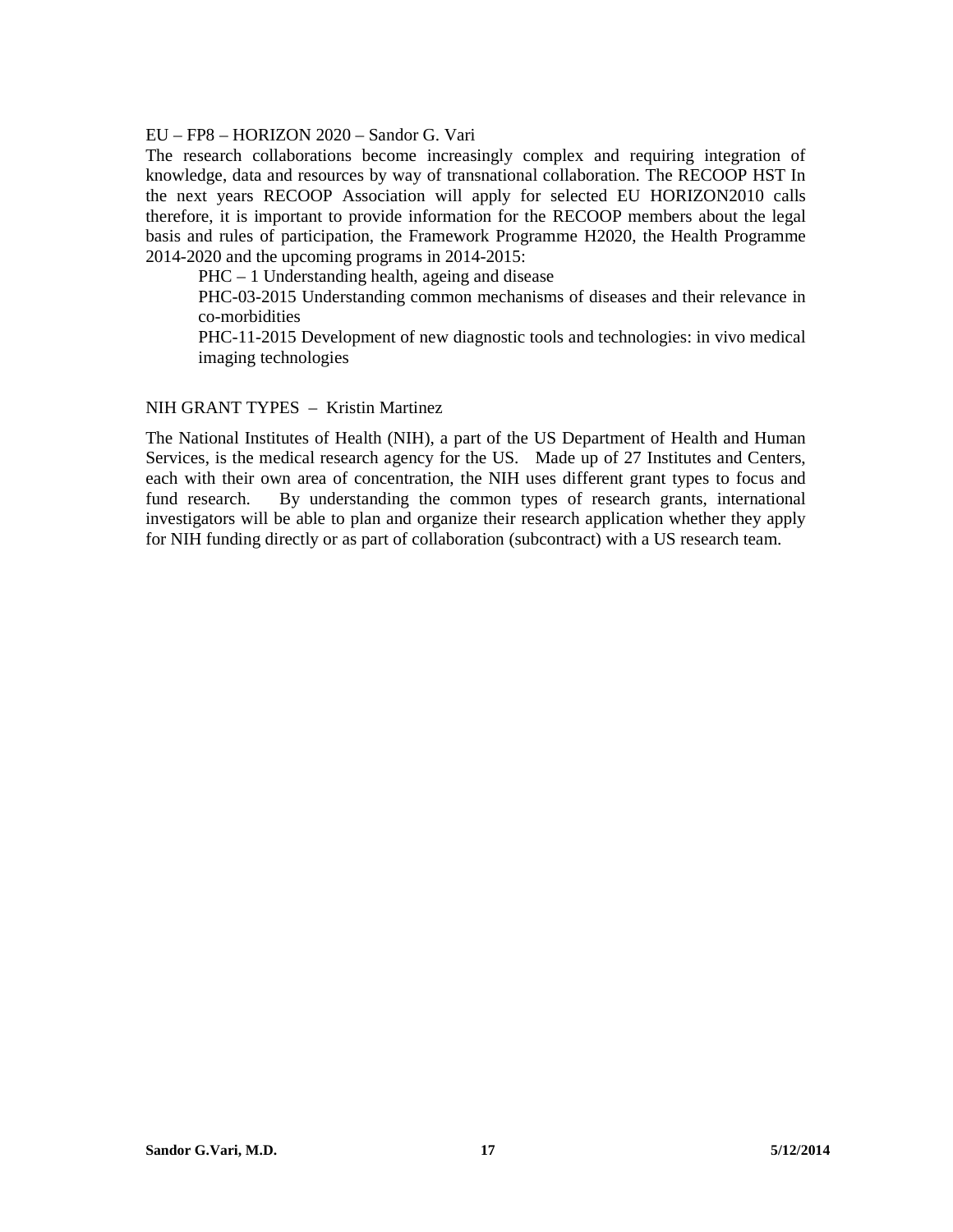#### EU – FP8 – HORIZON 2020 – Sandor G. Vari

The research collaborations become increasingly complex and requiring integration of knowledge, data and resources by way of transnational collaboration. The RECOOP HST In the next years RECOOP Association will apply for selected EU HORIZON2010 calls therefore, it is important to provide information for the RECOOP members about the legal basis and rules of participation, the Framework Programme H2020, the Health Programme 2014-2020 and the upcoming programs in 2014-2015:

PHC – 1 Understanding health, ageing and disease

PHC-03-2015 Understanding common mechanisms of diseases and their relevance in co-morbidities

PHC-11-2015 Development of new diagnostic tools and technologies: in vivo medical imaging technologies

#### NIH GRANT TYPES – Kristin Martinez

The National Institutes of Health (NIH), a part of the US Department of Health and Human Services, is the medical research agency for the US. Made up of 27 Institutes and Centers, each with their own area of concentration, the NIH uses different grant types to focus and fund research. By understanding the common types of research grants, international investigators will be able to plan and organize their research application whether they apply for NIH funding directly or as part of collaboration (subcontract) with a US research team.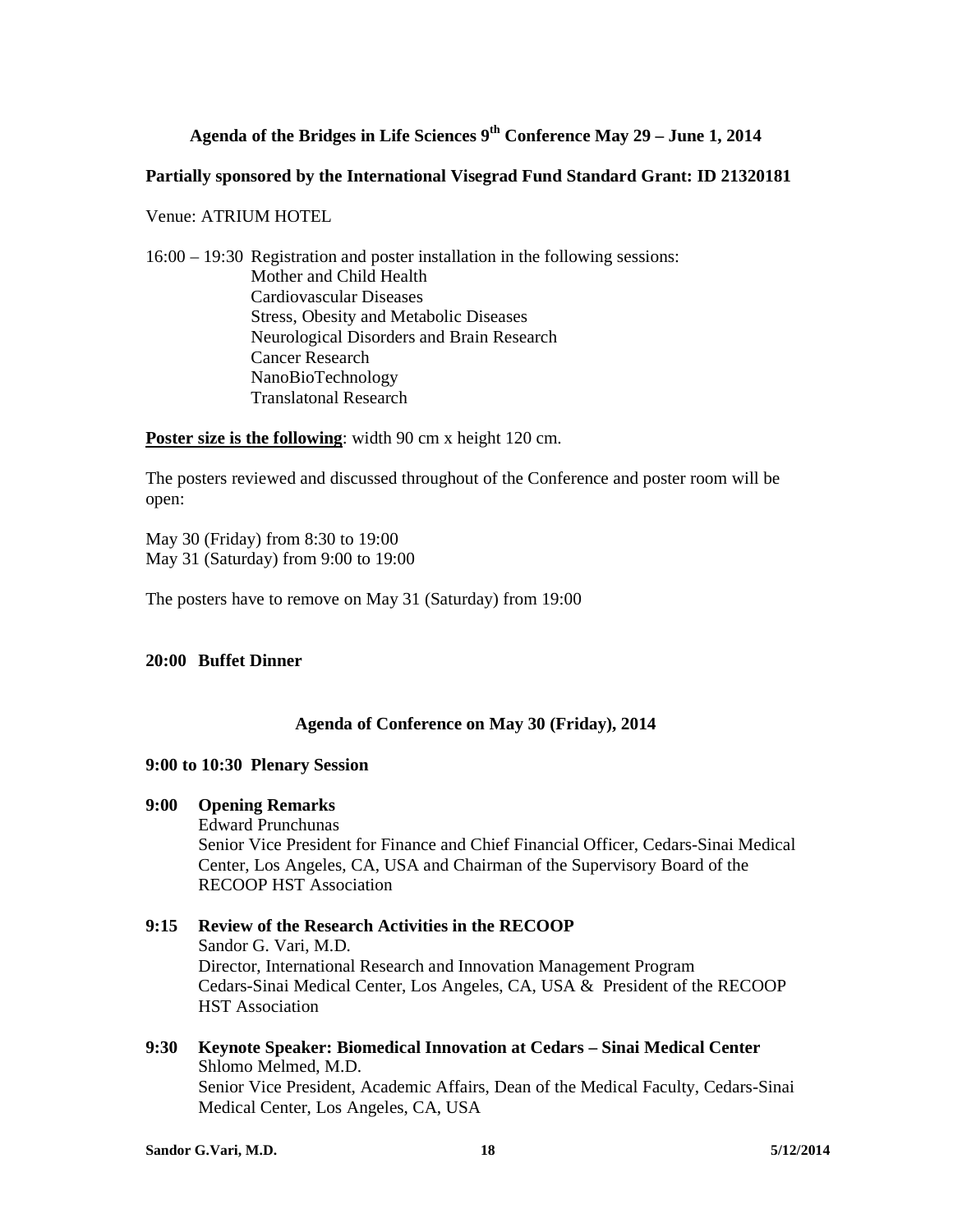## **Agenda of the Bridges in Life Sciences 9th Conference May 29 – June 1, 2014**

#### **Partially sponsored by the International Visegrad Fund Standard Grant: ID 21320181**

Venue: ATRIUM HOTEL

16:00 – 19:30 Registration and poster installation in the following sessions: Mother and Child Health Cardiovascular Diseases Stress, Obesity and Metabolic Diseases Neurological Disorders and Brain Research Cancer Research NanoBioTechnology Translatonal Research

**Poster size is the following**: width 90 cm x height 120 cm.

The posters reviewed and discussed throughout of the Conference and poster room will be open:

May 30 (Friday) from 8:30 to 19:00 May 31 (Saturday) from 9:00 to 19:00

The posters have to remove on May 31 (Saturday) from 19:00

## **20:00 Buffet Dinner**

#### **Agenda of Conference on May 30 (Friday), 2014**

#### **9:00 to 10:30 Plenary Session**

#### **9:00 Opening Remarks**

Edward Prunchunas

Senior Vice President for Finance and Chief Financial Officer, Cedars-Sinai Medical Center, Los Angeles, CA, USA and Chairman of the Supervisory Board of the RECOOP HST Association

- **9:15 Review of the Research Activities in the RECOOP**  Sandor G. Vari, M.D. Director, International Research and Innovation Management Program Cedars-Sinai Medical Center, Los Angeles, CA, USA & President of the RECOOP HST Association
- **9:30 Keynote Speaker: Biomedical Innovation at Cedars Sinai Medical Center** Shlomo Melmed, M.D. Senior Vice President, Academic Affairs, Dean of the Medical Faculty, Cedars-Sinai Medical Center, Los Angeles, CA, USA

**Sandor G.Vari, M.D.** 18 5/12/2014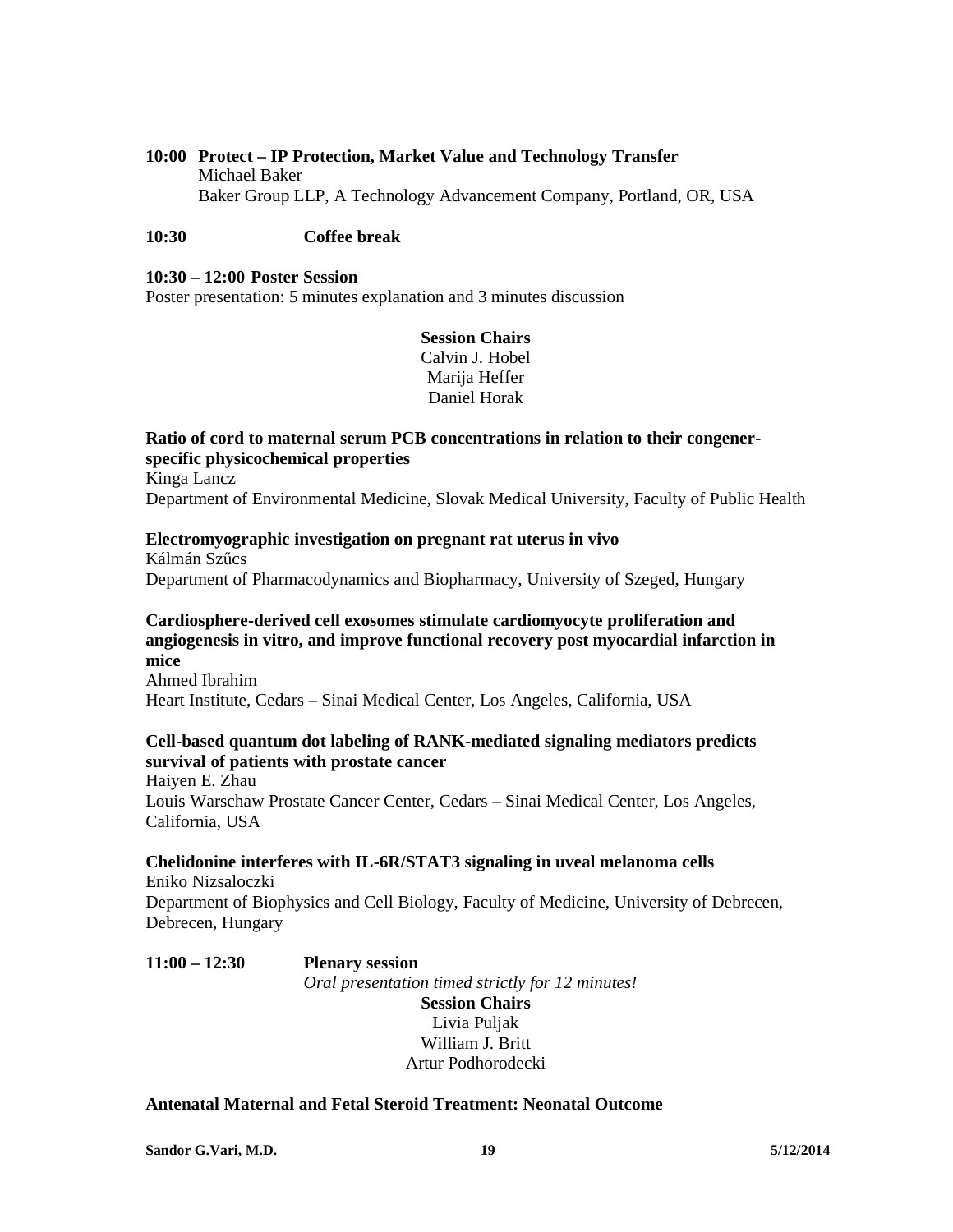## **10:00 Protect – IP Protection, Market Value and Technology Transfer**  Michael Baker Baker Group LLP, A Technology Advancement Company, Portland, OR, USA

## **10:30 Coffee break**

#### **10:30 – 12:00 Poster Session**

Poster presentation: 5 minutes explanation and 3 minutes discussion

## **Session Chairs**  Calvin J. Hobel Marija Heffer Daniel Horak

**Ratio of cord to maternal serum PCB concentrations in relation to their congenerspecific physicochemical properties**  Kinga Lancz Department of Environmental Medicine, Slovak Medical University, Faculty of Public Health

# **Electromyographic investigation on pregnant rat uterus in vivo**

Kálmán Szűcs Department of Pharmacodynamics and Biopharmacy, University of Szeged, Hungary

## **Cardiosphere-derived cell exosomes stimulate cardiomyocyte proliferation and angiogenesis in vitro, and improve functional recovery post myocardial infarction in mice**

Ahmed Ibrahim Heart Institute, Cedars – Sinai Medical Center, Los Angeles, California, USA

## **Cell-based quantum dot labeling of RANK-mediated signaling mediators predicts survival of patients with prostate cancer**

Haiyen E. Zhau Louis Warschaw Prostate Cancer Center, Cedars – Sinai Medical Center, Los Angeles, California, USA

# **Chelidonine interferes with IL-6R/STAT3 signaling in uveal melanoma cells**

Eniko Nizsaloczki Department of Biophysics and Cell Biology, Faculty of Medicine, University of Debrecen, Debrecen, Hungary

**11:00 – 12:30 Plenary session**  *Oral presentation timed strictly for 12 minutes!*  **Session Chairs**  Livia Puljak

William J. Britt Artur Podhorodecki

#### **Antenatal Maternal and Fetal Steroid Treatment: Neonatal Outcome**

**Sandor G.Vari, M.D.** 19 5/12/2014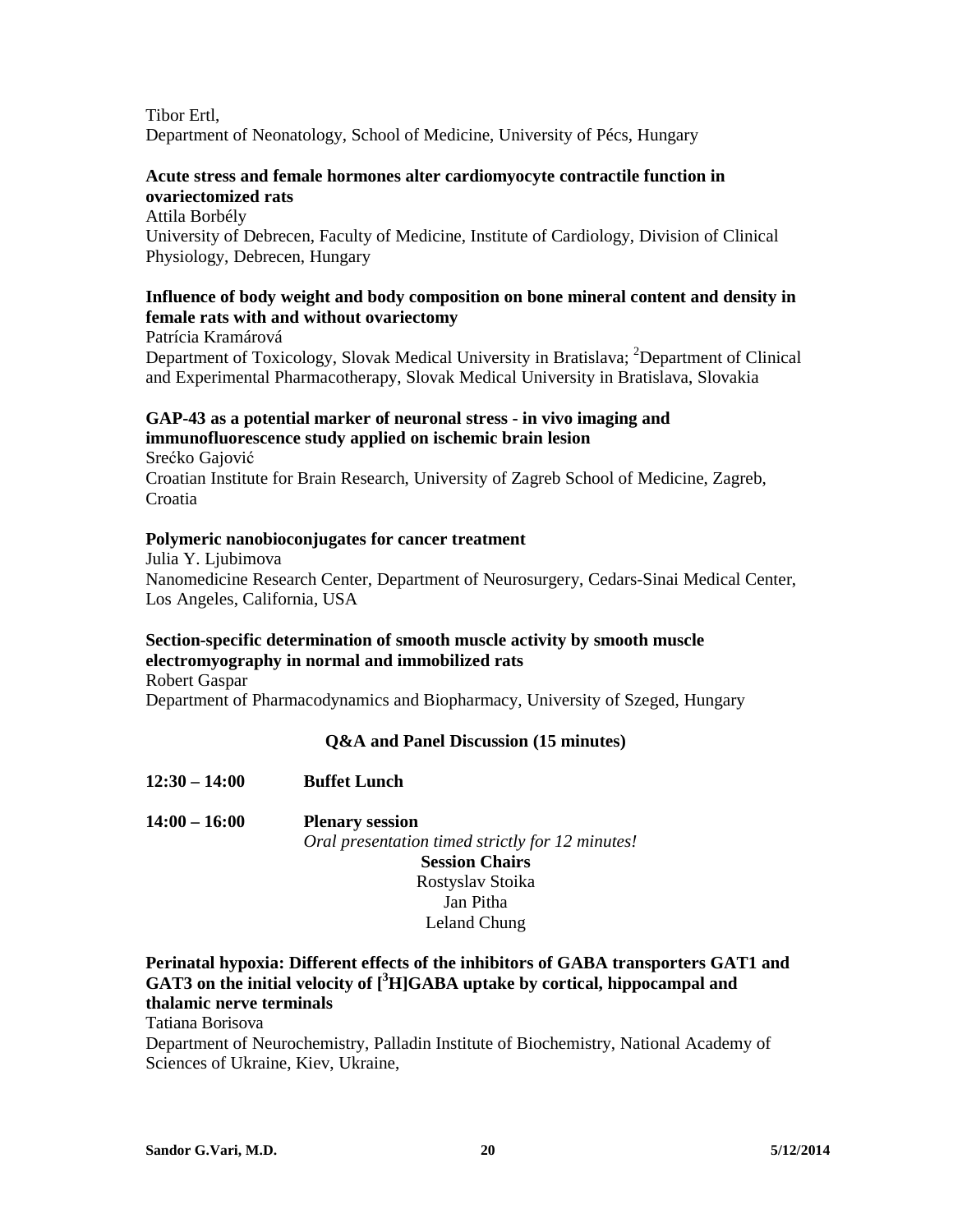Tibor Ertl, Department of Neonatology, School of Medicine, University of Pécs, Hungary

## **Acute stress and female hormones alter cardiomyocyte contractile function in ovariectomized rats**

Attila Borbély University of Debrecen, Faculty of Medicine, Institute of Cardiology, Division of Clinical Physiology, Debrecen, Hungary

## **Influence of body weight and body composition on bone mineral content and density in female rats with and without ovariectomy**

Patrícia Kramárová Department of Toxicology, Slovak Medical University in Bratislava; <sup>2</sup>Department of Clinical and Experimental Pharmacotherapy, Slovak Medical University in Bratislava, Slovakia

## **GAP-43 as a potential marker of neuronal stress - in vivo imaging and immunofluorescence study applied on ischemic brain lesion**

Srećko Gajović Croatian Institute for Brain Research, University of Zagreb School of Medicine, Zagreb, Croatia

## **Polymeric nanobioconjugates for cancer treatment**

Julia Y. Ljubimova Nanomedicine Research Center, Department of Neurosurgery, Cedars-Sinai Medical Center, Los Angeles, California, USA

## **Section-specific determination of smooth muscle activity by smooth muscle electromyography in normal and immobilized rats**

Robert Gaspar Department of Pharmacodynamics and Biopharmacy, University of Szeged, Hungary

## **Q&A and Panel Discussion (15 minutes)**

**12:30 – 14:00 Buffet Lunch 14:00 – 16:00 Plenary session**  *Oral presentation timed strictly for 12 minutes!*  **Session Chairs**  Rostyslav Stoika Jan Pitha

## Leland Chung

## **Perinatal hypoxia: Different effects of the inhibitors of GABA transporters GAT1 and GAT3 on the initial velocity of [<sup>3</sup>H]GABA uptake by cortical, hippocampal and thalamic nerve terminals**

Tatiana Borisova

Department of Neurochemistry, Palladin Institute of Biochemistry, National Academy of Sciences of Ukraine, Kiev, Ukraine,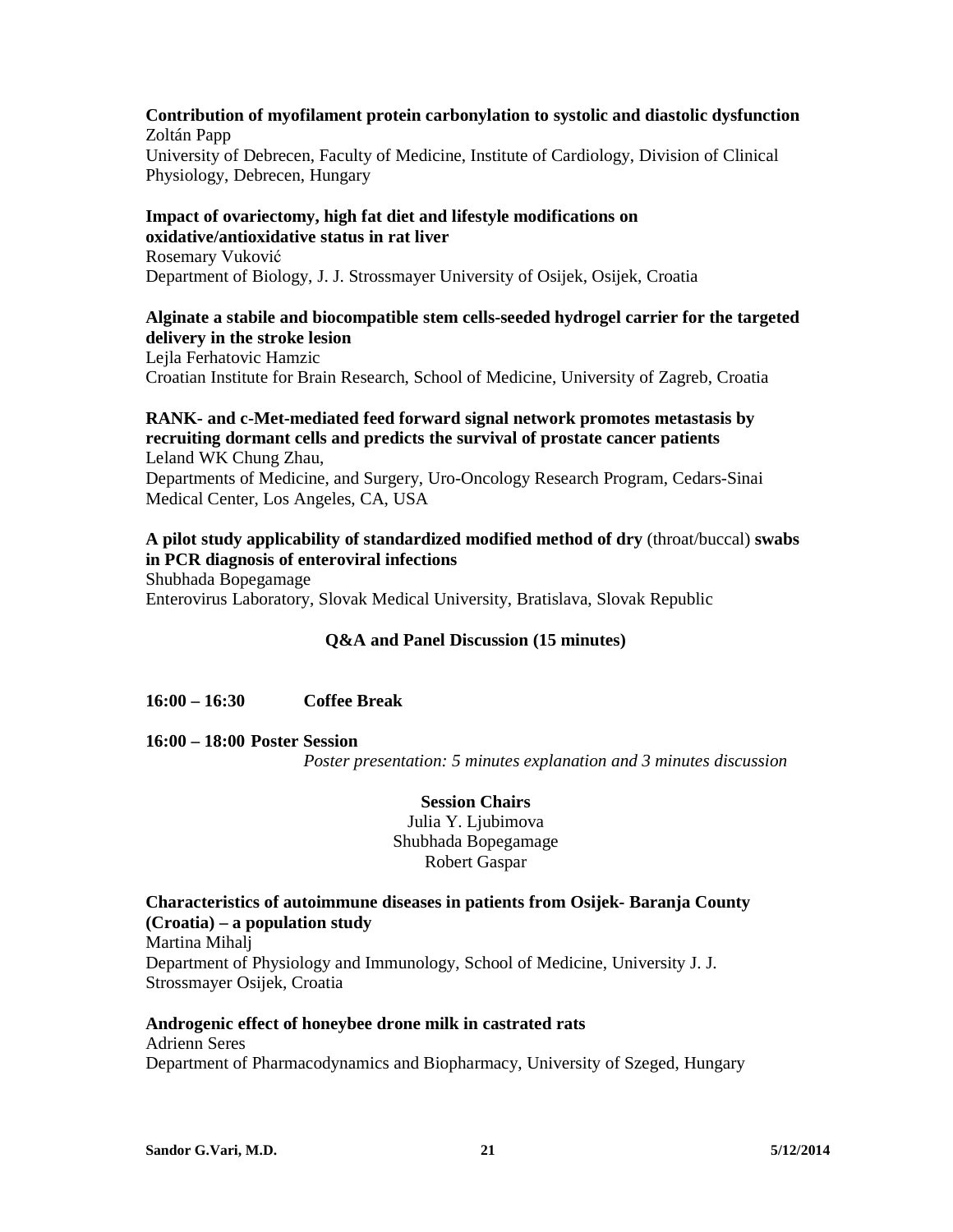## **Contribution of myofilament protein carbonylation to systolic and diastolic dysfunction**  Zoltán Papp

University of Debrecen, Faculty of Medicine, Institute of Cardiology, Division of Clinical Physiology, Debrecen, Hungary

## **Impact of ovariectomy, high fat diet and lifestyle modifications on oxidative/antioxidative status in rat liver**

Rosemary Vuković Department of Biology, J. J. Strossmayer University of Osijek, Osijek, Croatia

## **Alginate a stabile and biocompatible stem cells-seeded hydrogel carrier for the targeted delivery in the stroke lesion**

Lejla Ferhatovic Hamzic Croatian Institute for Brain Research, School of Medicine, University of Zagreb, Croatia

#### **RANK- and c-Met-mediated feed forward signal network promotes metastasis by recruiting dormant cells and predicts the survival of prostate cancer patients**  Leland WK Chung Zhau,

Departments of Medicine, and Surgery, Uro-Oncology Research Program, Cedars-Sinai Medical Center, Los Angeles, CA, USA

## **A pilot study applicability of standardized modified method of dry** (throat/buccal) **swabs in PCR diagnosis of enteroviral infections** Shubhada Bopegamage

Enterovirus Laboratory, Slovak Medical University, Bratislava, Slovak Republic

## **Q&A and Panel Discussion (15 minutes)**

## **16:00 – 16:30 Coffee Break**

**16:00 – 18:00 Poster Session** 

*Poster presentation: 5 minutes explanation and 3 minutes discussion* 

## **Session Chairs**

Julia Y. Ljubimova Shubhada Bopegamage Robert Gaspar

## **Characteristics of autoimmune diseases in patients from Osijek- Baranja County (Croatia) – a population study**

Martina Mihalj Department of Physiology and Immunology, School of Medicine, University J. J. Strossmayer Osijek, Croatia

**Androgenic effect of honeybee drone milk in castrated rats**  Adrienn Seres Department of Pharmacodynamics and Biopharmacy, University of Szeged, Hungary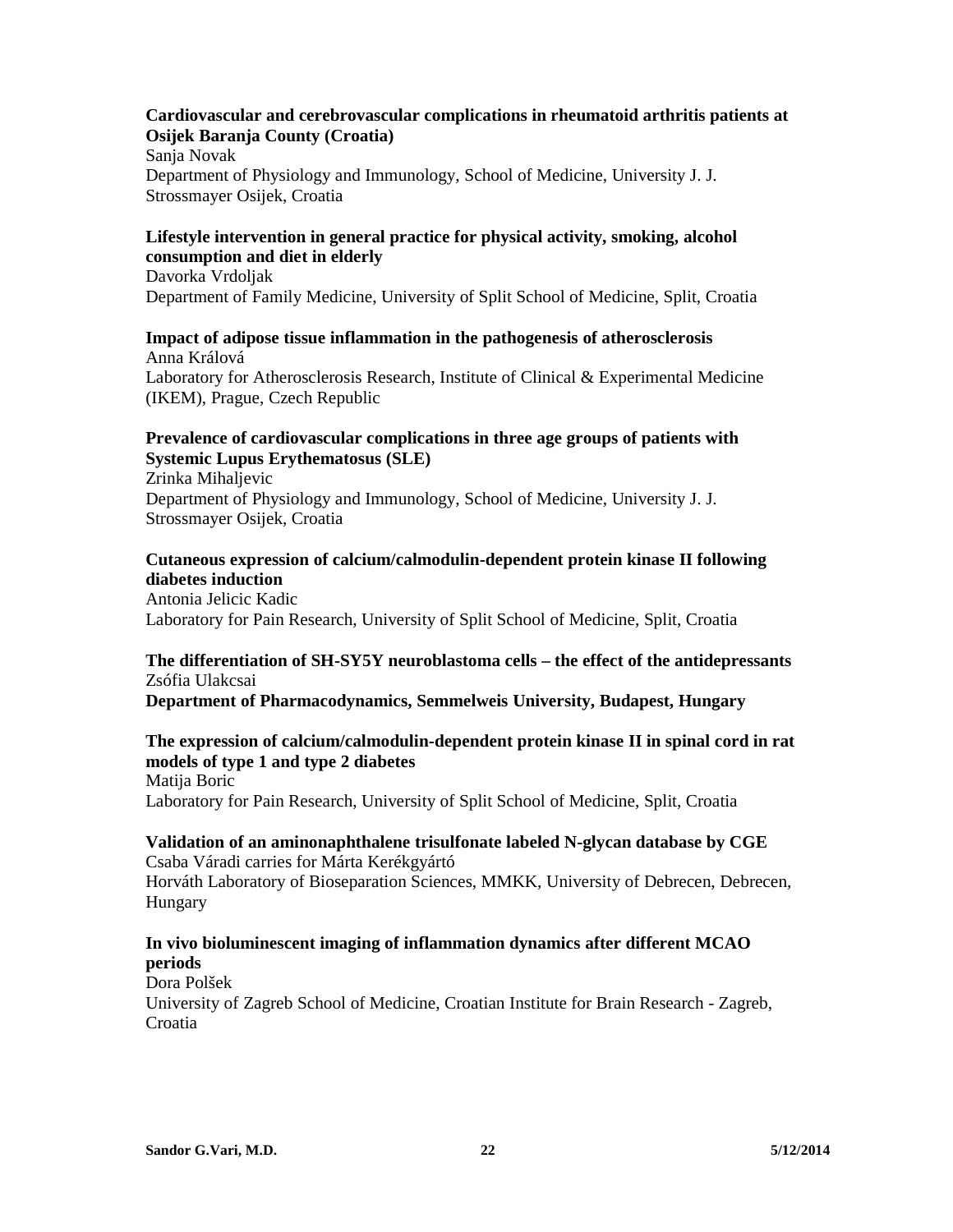## **Cardiovascular and cerebrovascular complications in rheumatoid arthritis patients at Osijek Baranja County (Croatia)**

Sanja Novak Department of Physiology and Immunology, School of Medicine, University J. J. Strossmayer Osijek, Croatia

## **Lifestyle intervention in general practice for physical activity, smoking, alcohol consumption and diet in elderly**

Davorka Vrdoljak Department of Family Medicine, University of Split School of Medicine, Split, Croatia

## **Impact of adipose tissue inflammation in the pathogenesis of atherosclerosis**  Anna Králová

Laboratory for Atherosclerosis Research, Institute of Clinical & Experimental Medicine (IKEM), Prague, Czech Republic

## **Prevalence of cardiovascular complications in three age groups of patients with Systemic Lupus Erythematosus (SLE)**

Zrinka Mihaljevic Department of Physiology and Immunology, School of Medicine, University J. J. Strossmayer Osijek, Croatia

## **Cutaneous expression of calcium/calmodulin-dependent protein kinase II following diabetes induction**

Antonia Jelicic Kadic Laboratory for Pain Research, University of Split School of Medicine, Split, Croatia

## **The differentiation of SH-SY5Y neuroblastoma cells – the effect of the antidepressants**  Zsófia Ulakcsai

**Department of Pharmacodynamics, Semmelweis University, Budapest, Hungary** 

## **The expression of calcium/calmodulin-dependent protein kinase II in spinal cord in rat models of type 1 and type 2 diabetes**  Matija Boric

Laboratory for Pain Research, University of Split School of Medicine, Split, Croatia

## **Validation of an aminonaphthalene trisulfonate labeled N-glycan database by CGE**  Csaba Váradi carries for Márta Kerékgyártó

Horváth Laboratory of Bioseparation Sciences, MMKK, University of Debrecen, Debrecen, Hungary

## **In vivo bioluminescent imaging of inflammation dynamics after different MCAO periods**

Dora Polšek

University of Zagreb School of Medicine, Croatian Institute for Brain Research - Zagreb, Croatia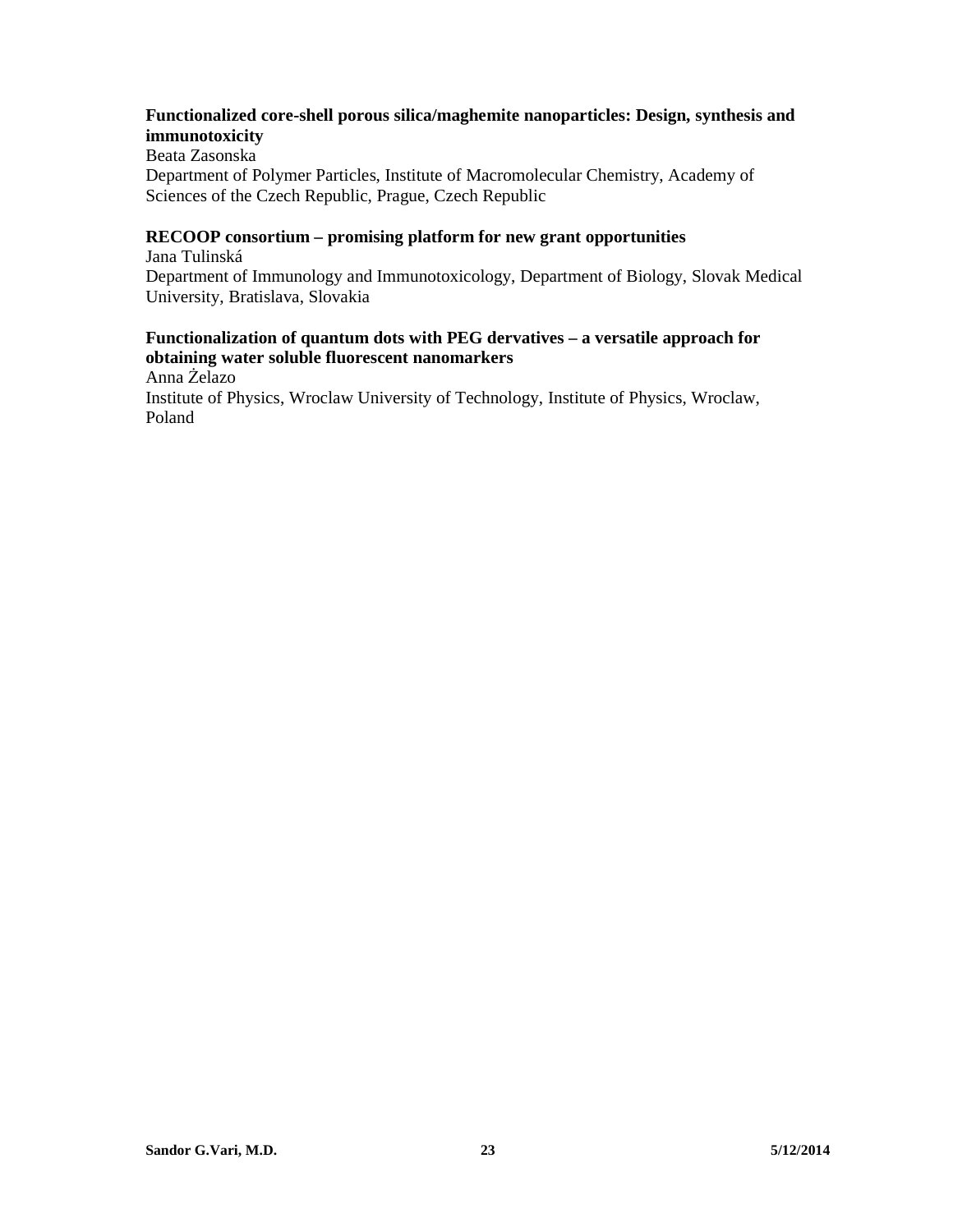## **Functionalized core-shell porous silica/maghemite nanoparticles: Design, synthesis and immunotoxicity**

Beata Zasonska Department of Polymer Particles, Institute of Macromolecular Chemistry, Academy of Sciences of the Czech Republic, Prague, Czech Republic

## **RECOOP consortium – promising platform for new grant opportunities**

Jana Tulinská Department of Immunology and Immunotoxicology, Department of Biology, Slovak Medical University, Bratislava, Slovakia

## **Functionalization of quantum dots with PEG dervatives – a versatile approach for obtaining water soluble fluorescent nanomarkers**

Anna Żelazo

Institute of Physics, Wroclaw University of Technology, Institute of Physics, Wroclaw, Poland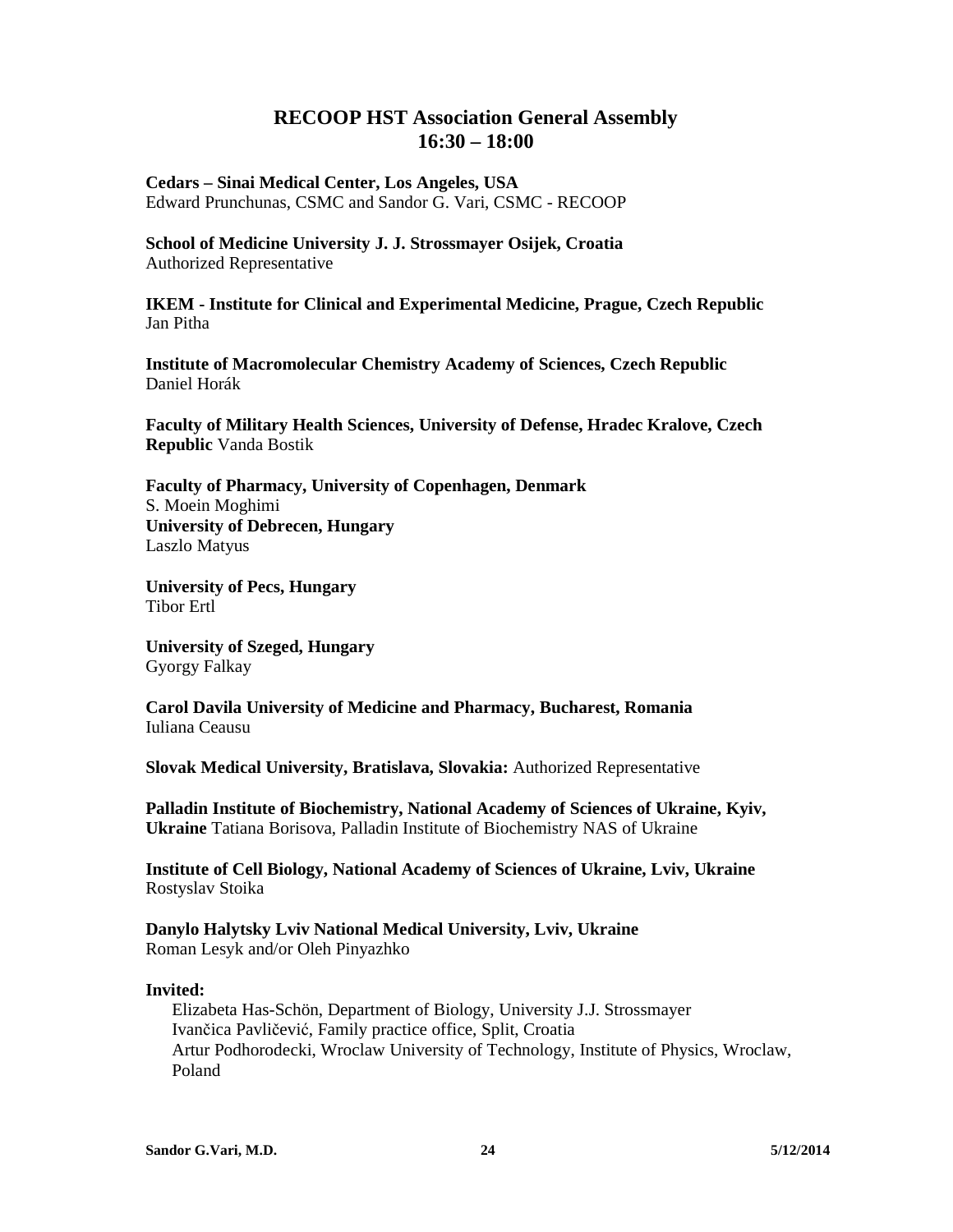# **RECOOP HST Association General Assembly 16:30 – 18:00**

**Cedars – Sinai Medical Center, Los Angeles, USA**  Edward Prunchunas, CSMC and Sandor G. Vari, CSMC - RECOOP

**School of Medicine University J. J. Strossmayer Osijek, Croatia**  Authorized Representative

**IKEM - Institute for Clinical and Experimental Medicine, Prague, Czech Republic**  Jan Pitha

**Institute of Macromolecular Chemistry Academy of Sciences, Czech Republic**  Daniel Horák

**Faculty of Military Health Sciences, University of Defense, Hradec Kralove, Czech Republic** Vanda Bostik

**Faculty of Pharmacy, University of Copenhagen, Denmark**  S. Moein Moghimi **University of Debrecen, Hungary**  Laszlo Matyus

**University of Pecs, Hungary**  Tibor Ertl

**University of Szeged, Hungary**  Gyorgy Falkay

**Carol Davila University of Medicine and Pharmacy, Bucharest, Romania**  Iuliana Ceausu

**Slovak Medical University, Bratislava, Slovakia:** Authorized Representative

**Palladin Institute of Biochemistry, National Academy of Sciences of Ukraine, Kyiv, Ukraine** Tatiana Borisova, Palladin Institute of Biochemistry NAS of Ukraine

**Institute of Cell Biology, National Academy of Sciences of Ukraine, Lviv, Ukraine**  Rostyslav Stoika

**Danylo Halytsky Lviv National Medical University, Lviv, Ukraine**  Roman Lesyk and/or Oleh Pinyazhko

#### **Invited:**

Elizabeta Has-Schön, Department of Biology, University J.J. Strossmayer Ivančica Pavličević, Family practice office, Split, Croatia Artur Podhorodecki, Wroclaw University of Technology, Institute of Physics, Wroclaw, Poland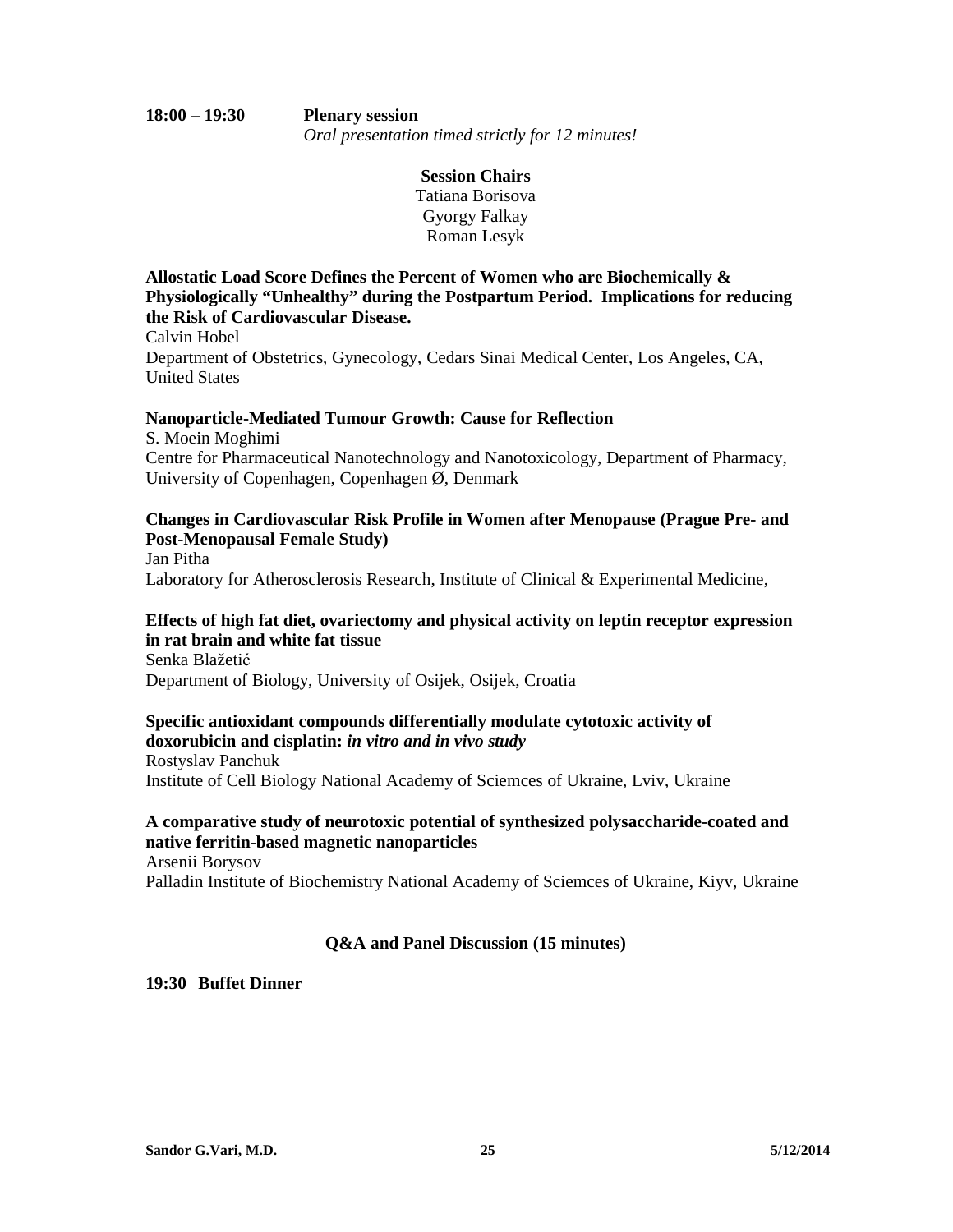**Session Chairs**  Tatiana Borisova Gyorgy Falkay Roman Lesyk

**Allostatic Load Score Defines the Percent of Women who are Biochemically & Physiologically "Unhealthy" during the Postpartum Period. Implications for reducing the Risk of Cardiovascular Disease.** 

Calvin Hobel Department of Obstetrics, Gynecology, Cedars Sinai Medical Center, Los Angeles, CA, United States

#### **Nanoparticle-Mediated Tumour Growth: Cause for Reflection**

S. Moein Moghimi Centre for Pharmaceutical Nanotechnology and Nanotoxicology, Department of Pharmacy, University of Copenhagen, Copenhagen Ø, Denmark

#### **Changes in Cardiovascular Risk Profile in Women after Menopause (Prague Pre- and Post-Menopausal Female Study)**  Jan Pitha

Laboratory for Atherosclerosis Research, Institute of Clinical & Experimental Medicine,

#### **Effects of high fat diet, ovariectomy and physical activity on leptin receptor expression in rat brain and white fat tissue**  Senka Blažetić

Department of Biology, University of Osijek, Osijek, Croatia

# **Specific antioxidant compounds differentially modulate cytotoxic activity of doxorubicin and cisplatin:** *in vitro and in vivo study*

Rostyslav Panchuk Institute of Cell Biology National Academy of Sciemces of Ukraine, Lviv, Ukraine

#### **A comparative study of neurotoxic potential of synthesized polysaccharide-coated and native ferritin-based magnetic nanoparticles**  Arsenii Borysov

Palladin Institute of Biochemistry National Academy of Sciemces of Ukraine, Kiyv, Ukraine

## **Q&A and Panel Discussion (15 minutes)**

#### **19:30 Buffet Dinner**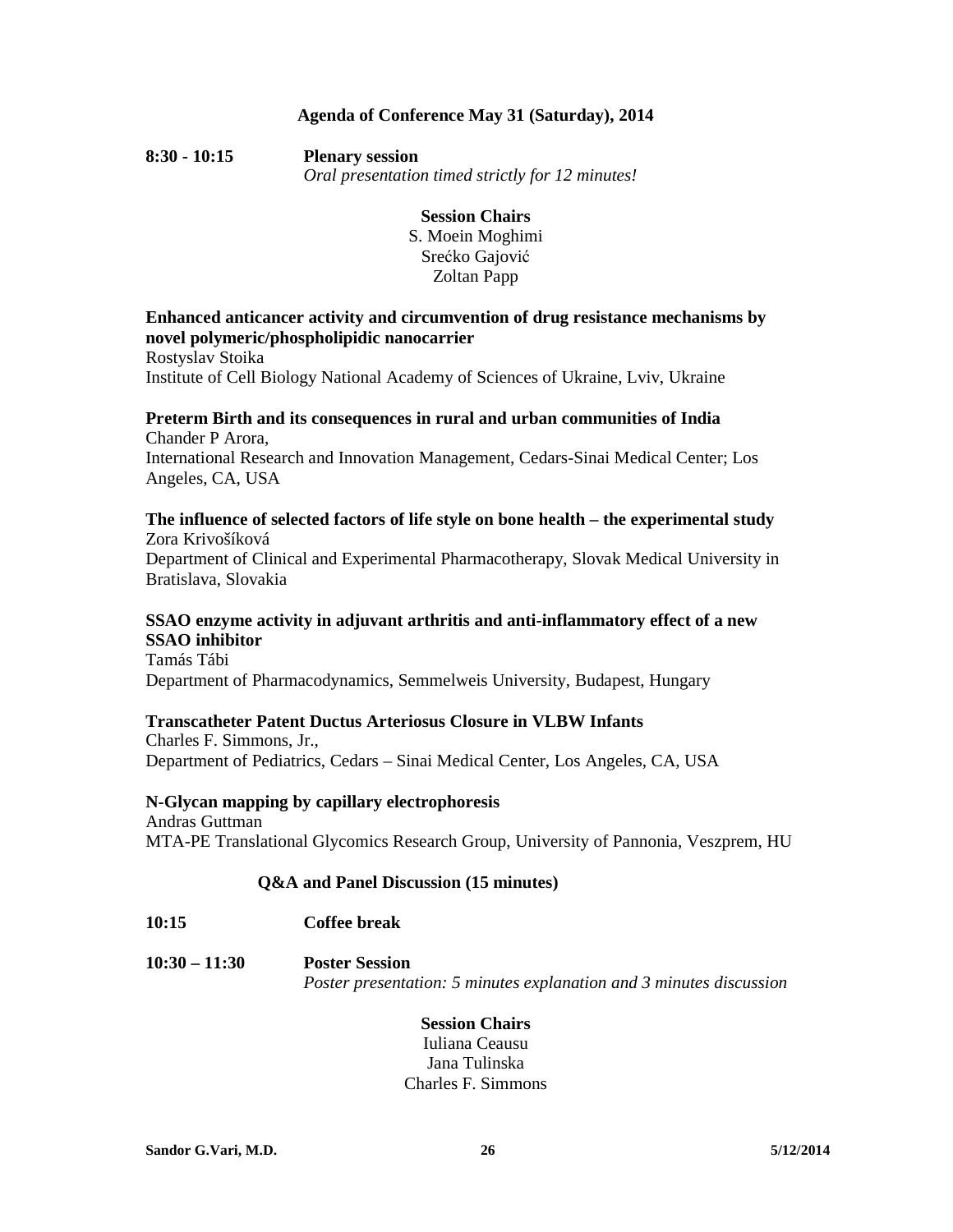## **Agenda of Conference May 31 (Saturday), 2014**

**8:30 - 10:15 Plenary session**  *Oral presentation timed strictly for 12 minutes!* 

# **Session Chairs**

S. Moein Moghimi Srećko Gajović Zoltan Papp

## **Enhanced anticancer activity and circumvention of drug resistance mechanisms by novel polymeric/phospholipidic nanocarrier**

Rostyslav Stoika Institute of Cell Biology National Academy of Sciences of Ukraine, Lviv, Ukraine

#### **Preterm Birth and its consequences in rural and urban communities of India**  Chander P Arora,

International Research and Innovation Management, Cedars-Sinai Medical Center; Los Angeles, CA, USA

#### **The influence of selected factors of life style on bone health – the experimental study**  Zora Krivošíková

Department of Clinical and Experimental Pharmacotherapy, Slovak Medical University in Bratislava, Slovakia

# **SSAO enzyme activity in adjuvant arthritis and anti-inflammatory effect of a new SSAO inhibitor**

Tamás Tábi Department of Pharmacodynamics, Semmelweis University, Budapest, Hungary

## **Transcatheter Patent Ductus Arteriosus Closure in VLBW Infants**

Charles F. Simmons, Jr., Department of Pediatrics, Cedars – Sinai Medical Center, Los Angeles, CA, USA

#### **N-Glycan mapping by capillary electrophoresis**  Andras Guttman MTA-PE Translational Glycomics Research Group, University of Pannonia, Veszprem, HU

## **Q&A and Panel Discussion (15 minutes)**

**10:15 Coffee break** 

**10:30 – 11:30 Poster Session**  *Poster presentation: 5 minutes explanation and 3 minutes discussion* 

## **Session Chairs**

Iuliana Ceausu Jana Tulinska Charles F. Simmons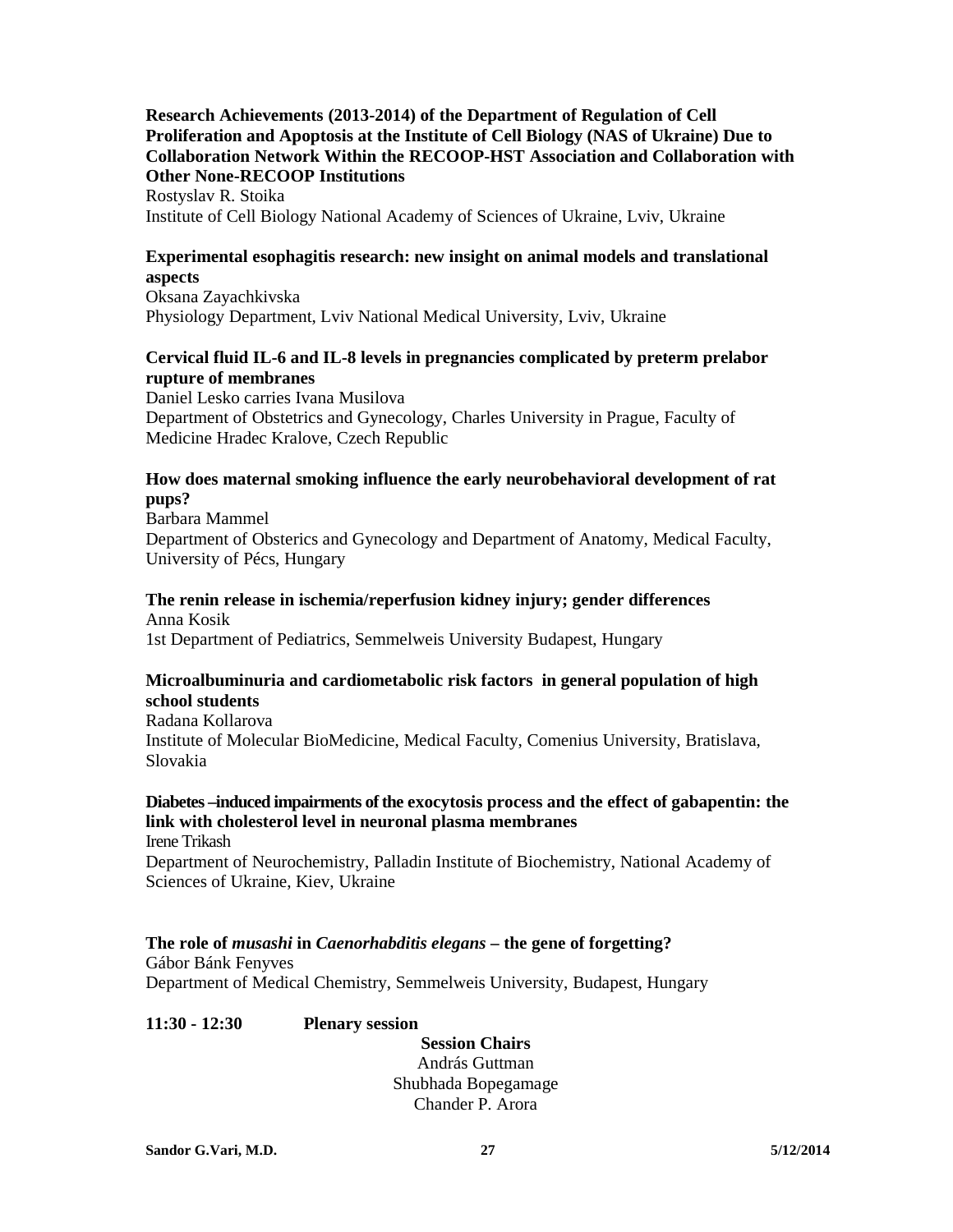## **Research Achievements (2013-2014) of the Department of Regulation of Cell Proliferation and Apoptosis at the Institute of Cell Biology (NAS of Ukraine) Due to Collaboration Network Within the RECOOP-HST Association and Collaboration with Other None-RECOOP Institutions**

Rostyslav R. Stoika Institute of Cell Biology National Academy of Sciences of Ukraine, Lviv, Ukraine

## **Experimental esophagitis research: new insight on animal models and translational aspects**

Oksana Zayachkivska Physiology Department, Lviv National Medical University, Lviv, Ukraine

## **Cervical fluid IL-6 and IL-8 levels in pregnancies complicated by preterm prelabor rupture of membranes**

Daniel Lesko carries Ivana Musilova Department of Obstetrics and Gynecology, Charles University in Prague, Faculty of Medicine Hradec Kralove, Czech Republic

## **How does maternal smoking influence the early neurobehavioral development of rat pups?**

Barbara Mammel Department of Obsterics and Gynecology and Department of Anatomy, Medical Faculty, University of Pécs, Hungary

#### **The renin release in ischemia/reperfusion kidney injury; gender differences**  Anna Kosik

1st Department of Pediatrics, Semmelweis University Budapest, Hungary

## **Microalbuminuria and cardiometabolic risk factors in general population of high school students**

Radana Kollarova Institute of Molecular BioMedicine, Medical Faculty, Comenius University, Bratislava, Slovakia

#### **Diabetes –induced impairments of the exocytosis process and the effect of gabapentin: the link with cholesterol level in neuronal plasma membranes**  Irene Trikash

Department of Neurochemistry, Palladin Institute of Biochemistry, National Academy of Sciences of Ukraine, Kiev, Ukraine

## **The role of** *musashi* **in** *Caenorhabditis elegans* **– the gene of forgetting?**

Gábor Bánk Fenyves Department of Medical Chemistry, Semmelweis University, Budapest, Hungary

## **11:30 - 12:30 Plenary session**

**Session Chairs**  András Guttman Shubhada Bopegamage Chander P. Arora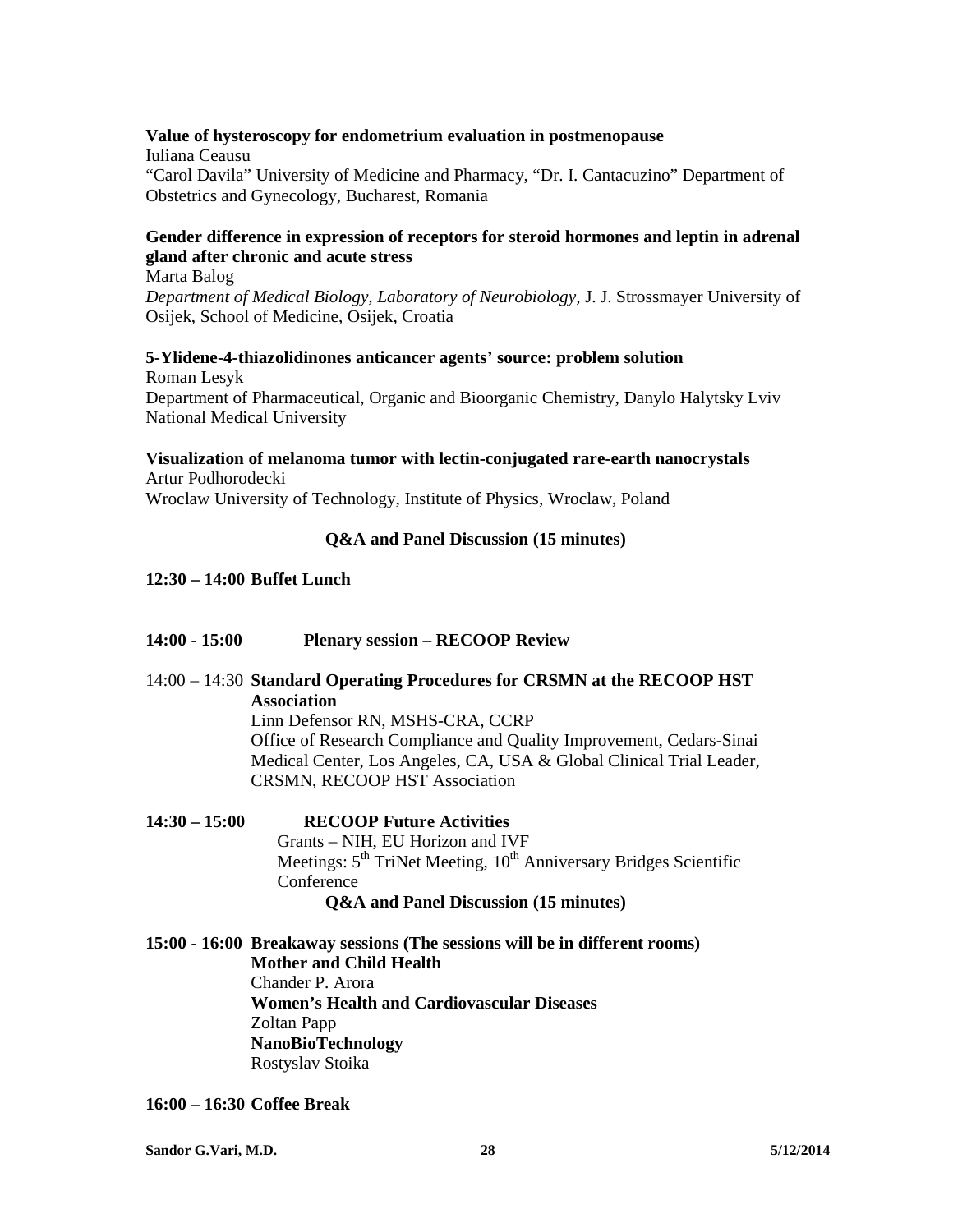#### **Value of hysteroscopy for endometrium evaluation in postmenopause**

Iuliana Ceausu "Carol Davila" University of Medicine and Pharmacy, "Dr. I. Cantacuzino" Department of Obstetrics and Gynecology, Bucharest, Romania

#### **Gender difference in expression of receptors for steroid hormones and leptin in adrenal gland after chronic and acute stress**  Marta Balog

*Department of Medical Biology, Laboratory of Neurobiology,* J. J. Strossmayer University of Osijek, School of Medicine, Osijek, Croatia

# **5-Ylidene-4-thiazolidinones anticancer agents' source: problem solution**

Roman Lesyk Department of Pharmaceutical, Organic and Bioorganic Chemistry, Danylo Halytsky Lviv National Medical University

#### **Visualization of melanoma tumor with lectin-conjugated rare-earth nanocrystals**  Artur Podhorodecki

Wroclaw University of Technology, Institute of Physics, Wroclaw, Poland

#### **Q&A and Panel Discussion (15 minutes)**

#### **12:30 – 14:00 Buffet Lunch**

- **14:00 15:00 Plenary session RECOOP Review**
- 14:00 14:30 **Standard Operating Procedures for CRSMN at the RECOOP HST Association**

 Linn Defensor RN, MSHS-CRA, CCRP Office of Research Compliance and Quality Improvement, Cedars-Sinai Medical Center, Los Angeles, CA, USA & Global Clinical Trial Leader, CRSMN, RECOOP HST Association

**14:30 – 15:00 RECOOP Future Activities**  Grants – NIH, EU Horizon and IVF Meetings:  $5<sup>th</sup>$  TriNet Meeting,  $10<sup>th</sup>$  Anniversary Bridges Scientific Conference **Q&A and Panel Discussion (15 minutes)** 

**15:00 - 16:00 Breakaway sessions (The sessions will be in different rooms) Mother and Child Health**  Chander P. Arora **Women's Health and Cardiovascular Diseases**  Zoltan Papp **NanoBioTechnology**  Rostyslav Stoika

**16:00 – 16:30 Coffee Break** 

**Sandor G.Vari, M.D. 28 5/12/2014**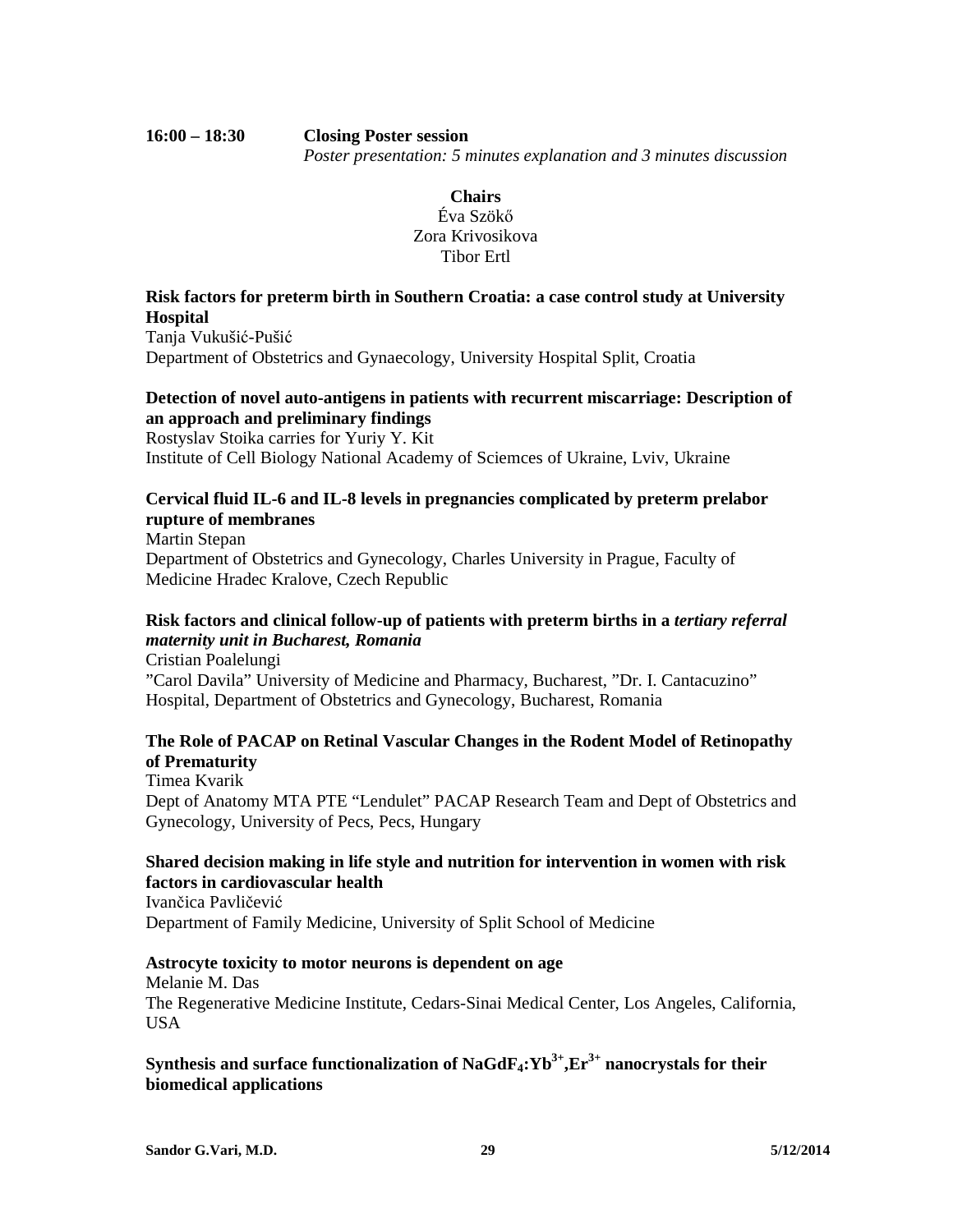#### **16:00 – 18:30 Closing Poster session**  *Poster presentation: 5 minutes explanation and 3 minutes discussion*

## **Chairs**  Éva Szökő Zora Krivosikova Tibor Ertl

## **Risk factors for preterm birth in Southern Croatia: a case control study at University Hospital**

Tanja Vukušić-Pušić Department of Obstetrics and Gynaecology, University Hospital Split, Croatia

## **Detection of novel auto-antigens in patients with recurrent miscarriage: Description of an approach and preliminary findings**

Rostyslav Stoika carries for Yuriy Y. Kit Institute of Cell Biology National Academy of Sciemces of Ukraine, Lviv, Ukraine

## **Cervical fluid IL-6 and IL-8 levels in pregnancies complicated by preterm prelabor rupture of membranes**

Martin Stepan Department of Obstetrics and Gynecology, Charles University in Prague, Faculty of Medicine Hradec Kralove, Czech Republic

# **Risk factors and clinical follow-up of patients with preterm births in a** *tertiary referral maternity unit in Bucharest, Romania*

Cristian Poalelungi "Carol Davila" University of Medicine and Pharmacy, Bucharest, "Dr. I. Cantacuzino" Hospital, Department of Obstetrics and Gynecology, Bucharest, Romania

## **The Role of PACAP on Retinal Vascular Changes in the Rodent Model of Retinopathy of Prematurity**

Timea Kvarik Dept of Anatomy MTA PTE "Lendulet" PACAP Research Team and Dept of Obstetrics and Gynecology, University of Pecs, Pecs, Hungary

## **Shared decision making in life style and nutrition for intervention in women with risk factors in cardiovascular health**

Ivančica Pavličević Department of Family Medicine, University of Split School of Medicine

## **Astrocyte toxicity to motor neurons is dependent on age**

Melanie M. Das

The Regenerative Medicine Institute, Cedars-Sinai Medical Center, Los Angeles, California, USA

## **Synthesis and surface functionalization of NaGdF4:Yb3+,Er3+ nanocrystals for their biomedical applications**